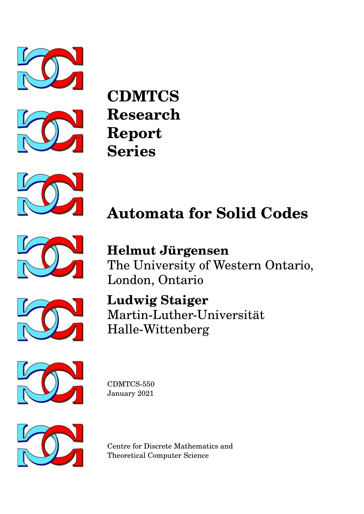



**CDMTCS Research Report Series**



# **Automata for Solid Codes**



**Helmut Jürgensen** The University of Western Ontario, London, Ontario



**Ludwig Staiger** Martin-Luther-Universität Halle-Wittenberg



CDMTCS-550 January 2021



Centre for Discrete Mathematics and Theoretical Computer Science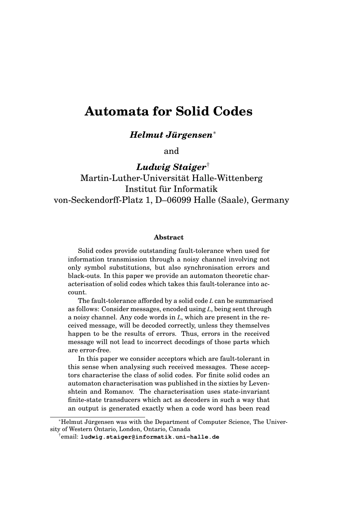# **Automata for Solid Codes**

*Helmut Jurgensen ¨* ∗

and

*Ludwig Staiger*† Martin-Luther-Universitat Halle-Wittenberg ¨ Institut fur Informatik ¨ von-Seckendorff-Platz 1, D–06099 Halle (Saale), Germany

#### **Abstract**

Solid codes provide outstanding fault-tolerance when used for information transmission through a noisy channel involving not only symbol substitutions, but also synchronisation errors and black-outs. In this paper we provide an automaton theoretic characterisation of solid codes which takes this fault-tolerance into account.

The fault-tolerance afforded by a solid code *L* can be summarised as follows: Consider messages, encoded using *L*, being sent through a noisy channel. Any code words in *L*, which are present in the received message, will be decoded correctly, unless they themselves happen to be the results of errors. Thus, errors in the received message will not lead to incorrect decodings of those parts which are error-free.

In this paper we consider acceptors which are fault-tolerant in this sense when analysing such received messages. These acceptors characterise the class of solid codes. For finite solid codes an automaton characterisation was published in the sixties by Levenshtein and Romanov. The characterisation uses state-invariant finite-state transducers which act as decoders in such a way that an output is generated exactly when a code word has been read

<sup>∗</sup>Helmut Jurgensen was with the Department of Computer Science, The Univer- ¨ sity of Western Ontario, London, Ontario, Canada

<sup>†</sup>email: **ludwig.staiger@informatik.uni-halle.de**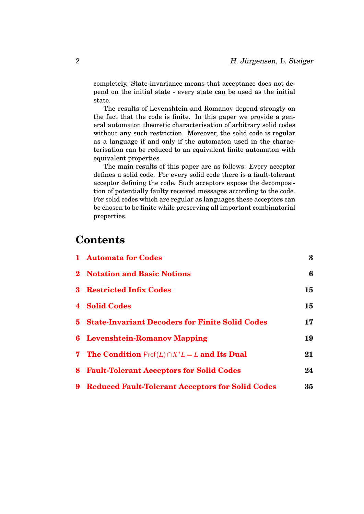completely. State-invariance means that acceptance does not depend on the initial state - every state can be used as the initial state.

The results of Levenshtein and Romanov depend strongly on the fact that the code is finite. In this paper we provide a general automaton theoretic characterisation of arbitrary solid codes without any such restriction. Moreover, the solid code is regular as a language if and only if the automaton used in the characterisation can be reduced to an equivalent finite automaton with equivalent properties.

The main results of this paper are as follows: Every acceptor defines a solid code. For every solid code there is a fault-tolerant acceptor defining the code. Such acceptors expose the decomposition of potentially faulty received messages according to the code. For solid codes which are regular as languages these acceptors can be chosen to be finite while preserving all important combinatorial properties.

# **Contents**

| 1 Automata for Codes                                               | 3  |
|--------------------------------------------------------------------|----|
| 2 Notation and Basic Notions                                       | 6  |
| <b>3</b> Restricted Infix Codes                                    | 15 |
| 4 Solid Codes                                                      | 15 |
| <b>5</b> State-Invariant Decoders for Finite Solid Codes           | 17 |
| <b>6</b> Levenshtein-Romanov Mapping                               | 19 |
| <b>7</b> The Condition $\text{Pref}(L) \cap X^*L = L$ and Its Dual | 21 |
| 8 Fault-Tolerant Acceptors for Solid Codes                         | 24 |
| 9 Reduced Fault-Tolerant Acceptors for Solid Codes                 | 35 |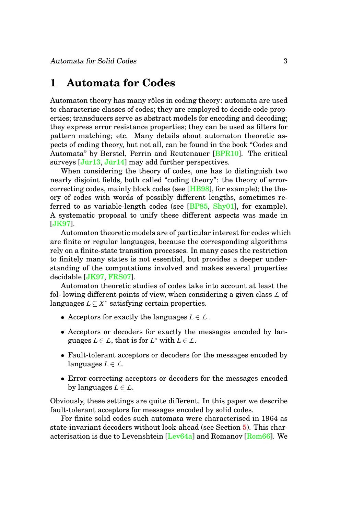### <span id="page-3-0"></span>**1 Automata for Codes**

Automaton theory has many rôles in coding theory: automata are used to characterise classes of codes; they are employed to decide code properties; transducers serve as abstract models for encoding and decoding; they express error resistance properties; they can be used as filters for pattern matching; etc. Many details about automaton theoretic aspects of coding theory, but not all, can be found in the book "Codes and Automata" by Berstel, Perrin and Reutenauer [\[BPR10\]](#page-40-0). The critical surveys  $[J\ddot{u}r13, J\ddot{u}r14]$  may add further perspectives.

When considering the theory of codes, one has to distinguish two nearly disjoint fields, both called "coding theory": the theory of errorcorrecting codes, mainly block codes (see [\[HB98\]](#page-41-0), for example); the theory of codes with words of possibly different lengths, sometimes referred to as variable-length codes (see  $[BPS5, Shy01]$  $[BPS5, Shy01]$ , for example). A systematic proposal to unify these different aspects was made in [\[JK97\]](#page-42-0).

Automaton theoretic models are of particular interest for codes which are finite or regular languages, because the corresponding algorithms rely on a finite-state transition processes. In many cases the restriction to finitely many states is not essential, but provides a deeper understanding of the computations involved and makes several properties decidable [\[JK97,](#page-42-0) [FRS07\]](#page-41-1).

Automaton theoretic studies of codes take into account at least the fol- lowing different points of view, when considering a given class *L* of languages  $L ⊆ X^*$  satisfying certain properties.

- Acceptors for exactly the languages  $L \in \mathcal{L}$ .
- Acceptors or decoders for exactly the messages encoded by languages  $L \in \mathcal{L}$ , that is for  $L^*$  with  $L \in \mathcal{L}$ .
- Fault-tolerant acceptors or decoders for the messages encoded by languages  $L \in \mathcal{L}$ .
- Error-correcting acceptors or decoders for the messages encoded by languages  $L \in \mathcal{L}$ .

Obviously, these settings are quite different. In this paper we describe fault-tolerant acceptors for messages encoded by solid codes.

For finite solid codes such automata were characterised in 1964 as state-invariant decoders without look-ahead (see Section [5\)](#page-17-0). This characterisation is due to Levenshtein [\[Lev64a\]](#page-44-0) and Romanov [\[Rom66\]](#page-45-1). We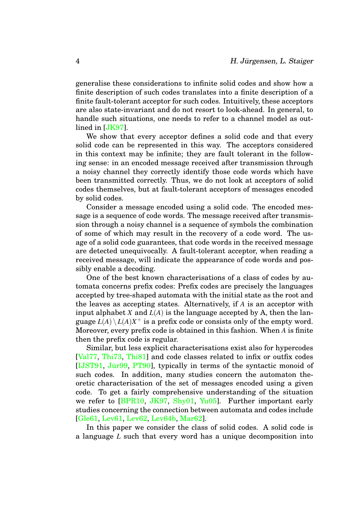generalise these considerations to infinite solid codes and show how a finite description of such codes translates into a finite description of a finite fault-tolerant acceptor for such codes. Intuitively, these acceptors are also state-invariant and do not resort to look-ahead. In general, to handle such situations, one needs to refer to a channel model as outlined in [\[JK97\]](#page-42-0).

We show that every acceptor defines a solid code and that every solid code can be represented in this way. The acceptors considered in this context may be infinite; they are fault tolerant in the following sense: in an encoded message received after transmission through a noisy channel they correctly identify those code words which have been transmitted correctly. Thus, we do not look at acceptors of solid codes themselves, but at fault-tolerant acceptors of messages encoded by solid codes.

Consider a message encoded using a solid code. The encoded message is a sequence of code words. The message received after transmission through a noisy channel is a sequence of symbols the combination of some of which may result in the recovery of a code word. The usage of a solid code guarantees, that code words in the received message are detected unequivocally. A fault-tolerant acceptor, when reading a received message, will indicate the appearance of code words and possibly enable a decoding.

One of the best known characterisations of a class of codes by automata concerns prefix codes: Prefix codes are precisely the languages accepted by tree-shaped automata with the initial state as the root and the leaves as accepting states. Alternatively, if *A* is an acceptor with input alphabet *X* and  $L(A)$  is the language accepted by A, then the language  $L(A) \setminus L(A)X^+$  is a prefix code or consists only of the empty word. Moreover, every prefix code is obtained in this fashion. When *A* is finite then the prefix code is regular.

Similar, but less explicit characterisations exist also for hypercodes [\[Val77,](#page-45-2) [Thi73,](#page-45-3) [Thi81\]](#page-45-4) and code classes related to infix or outfix codes [\[IJST91,](#page-42-1) Jür99, [PT90\]](#page-45-5), typically in terms of the syntactic monoid of such codes. In addition, many studies concern the automaton theoretic characterisation of the set of messages encoded using a given code. To get a fairly comprehensive understanding of the situation we refer to [\[BPR10,](#page-40-0) [JK97,](#page-42-0) [Shy01,](#page-45-0) [Yu05\]](#page-46-0). Further important early studies concerning the connection between automata and codes include [\[Gle61,](#page-41-2) [Lev61,](#page-44-1) [Lev62,](#page-44-2) [Lev64b,](#page-44-3) [Mar62\]](#page-45-6).

In this paper we consider the class of solid codes. A solid code is a language *L* such that every word has a unique decomposition into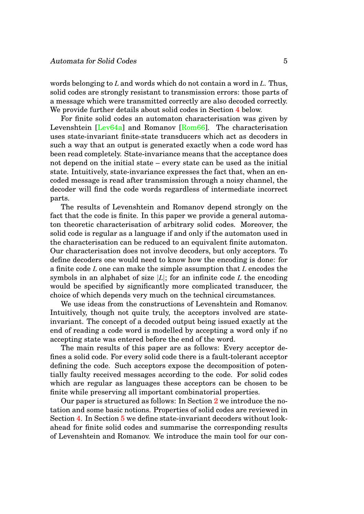words belonging to *L* and words which do not contain a word in *L*. Thus, solid codes are strongly resistant to transmission errors: those parts of a message which were transmitted correctly are also decoded correctly. We provide further details about solid codes in Section [4](#page-15-1) below.

For finite solid codes an automaton characterisation was given by Levenshtein [\[Lev64a\]](#page-44-0) and Romanov [\[Rom66\]](#page-45-1). The characterisation uses state-invariant finite-state transducers which act as decoders in such a way that an output is generated exactly when a code word has been read completely. State-invariance means that the acceptance does not depend on the initial state – every state can be used as the initial state. Intuitively, state-invariance expresses the fact that, when an encoded message is read after transmission through a noisy channel, the decoder will find the code words regardless of intermediate incorrect parts.

The results of Levenshtein and Romanov depend strongly on the fact that the code is finite. In this paper we provide a general automaton theoretic characterisation of arbitrary solid codes. Moreover, the solid code is regular as a language if and only if the automaton used in the characterisation can be reduced to an equivalent finite automaton. Our characterisation does not involve decoders, but only acceptors. To define decoders one would need to know how the encoding is done: for a finite code *L* one can make the simple assumption that *L* encodes the symbols in an alphabet of size |*L*|; for an infinite code *L* the encoding would be specified by significantly more complicated transducer, the choice of which depends very much on the technical circumstances.

We use ideas from the constructions of Levenshtein and Romanov. Intuitively, though not quite truly, the acceptors involved are stateinvariant. The concept of a decoded output being issued exactly at the end of reading a code word is modelled by accepting a word only if no accepting state was entered before the end of the word.

The main results of this paper are as follows: Every acceptor defines a solid code. For every solid code there is a fault-tolerant acceptor defining the code. Such acceptors expose the decomposition of potentially faulty received messages according to the code. For solid codes which are regular as languages these acceptors can be chosen to be finite while preserving all important combinatorial properties.

Our paper is structured as follows: In Section [2](#page-6-0) we introduce the notation and some basic notions. Properties of solid codes are reviewed in Section [4.](#page-15-1) In Section [5](#page-17-0) we define state-invariant decoders without lookahead for finite solid codes and summarise the corresponding results of Levenshtein and Romanov. We introduce the main tool for our con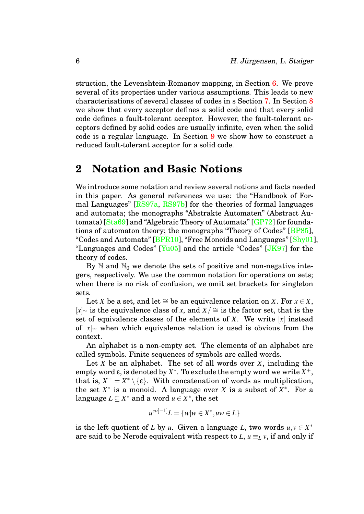struction, the Levenshtein-Romanov mapping, in Section [6.](#page-19-0) We prove several of its properties under various assumptions. This leads to new characterisations of several classes of codes in s Section [7.](#page-21-0) In Section [8](#page-24-0) we show that every acceptor defines a solid code and that every solid code defines a fault-tolerant acceptor. However, the fault-tolerant acceptors defined by solid codes are usually infinite, even when the solid code is a regular language. In Section [9](#page-35-0) we show how to construct a reduced fault-tolerant acceptor for a solid code.

# <span id="page-6-0"></span>**2 Notation and Basic Notions**

We introduce some notation and review several notions and facts needed in this paper. As general references we use: the "Handbook of Formal Languages" [\[RS97a,](#page-45-7) [RS97b\]](#page-45-8) for the theories of formal languages and automata; the monographs "Abstrakte Automaten" (Abstract Automata) [\[Sta69\]](#page-45-9) and "Algebraic Theory of Automata" [\[GP72\]](#page-41-3) for foundations of automaton theory; the monographs "Theory of Codes" [\[BP85\]](#page-40-1), "Codes and Automata" [\[BPR10\]](#page-40-0), "Free Monoids and Languages" [\[Shy01\]](#page-45-0), "Languages and Codes"  $[Yu05]$  and the article "Codes"  $[JK97]$  for the theory of codes.

By  $\mathbb N$  and  $\mathbb N_0$  we denote the sets of positive and non-negative integers, respectively. We use the common notation for operations on sets; when there is no risk of confusion, we omit set brackets for singleton sets.

Let *X* be a set, and let  $\cong$  be an equivalence relation on *X*. For  $x \in X$ ,  $[x]$ <sub>≅</sub> is the equivalence class of *x*, and  $X/$  ≃ is the factor set, that is the set of equivalence classes of the elements of *X*. We write [*x*] instead of [*x*]∼<sup>=</sup> when which equivalence relation is used is obvious from the context.

An alphabet is a non-empty set. The elements of an alphabet are called symbols. Finite sequences of symbols are called words.

Let *X* be an alphabet. The set of all words over *X*, including the empty word  $\varepsilon$ , is denoted by  $X^*$ . To exclude the empty word we write  $X^+$ , that is,  $X^+ = X^* \setminus \{\varepsilon\}$ . With concatenation of words as multiplication, the set  $X^*$  is a monoid. A language over *X* is a subset of  $X^*$ . For a language  $L \subseteq X^*$  and a word  $u \in X^*$ , the set

$$
u^{co[-1]}L = \{w|w \in X^*, uw \in L\}
$$

is the left quotient of *L* by *u*. Given a language *L*, two words  $u, v \in X^*$ are said to be Nerode equivalent with respect to  $L, u \equiv_L v$ , if and only if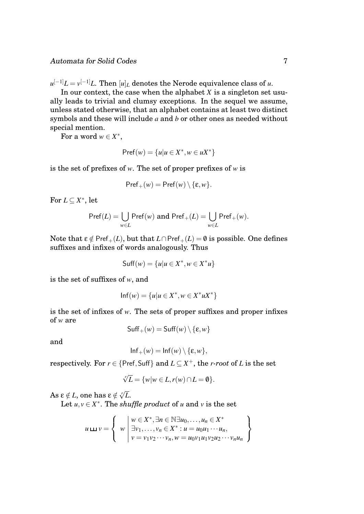$\mu^{[-1]} L = \nu^{[-1]} L$ . Then  $[u]_L$  denotes the Nerode equivalence class of  $u$ .

In our context, the case when the alphabet  $X$  is a singleton set usually leads to trivial and clumsy exceptions. In the sequel we assume, unless stated otherwise, that an alphabet contains at least two distinct symbols and these will include *a* and *b* or other ones as needed without special mention.

For a word  $w \in X^*$ ,

$$
Pref(w) = \{u | u \in X^*, w \in uX^*\}
$$

is the set of prefixes of *w*. The set of proper prefixes of *w* is

$$
\mathsf{Pref}_+(w) = \mathsf{Pref}(w) \setminus \{\varepsilon, w\}.
$$

For  $L \subseteq X^*$ , let

$$
\mathsf{Pref}(L) = \bigcup_{w \in L} \mathsf{Pref}(w) \text{ and } \mathsf{Pref}_+(L) = \bigcup_{w \in L} \mathsf{Pref}_+(w).
$$

Note that  $\varepsilon \notin \text{Pref}_{+}(L)$ , but that  $L \cap \text{Pref}_{+}(L) = \emptyset$  is possible. One defines suffixes and infixes of words analogously. Thus

$$
\mathsf{Suff}(w) = \{u | u \in X^*, w \in X^*u\}
$$

is the set of suffixes of *w*, and

$$
Inf(w) = \{u | u \in X^*, w \in X^* u X^*\}
$$

is the set of infixes of *w*. The sets of proper suffixes and proper infixes of *w* are

$$
\mathsf{Suff}_{+}(w) = \mathsf{Suff}(w) \setminus \{\varepsilon, w\}
$$

and

$$
Inf_{+}(w) = Inf(w) \setminus \{\varepsilon, w\},
$$

respectively. For  $r \in \{Pref, Suff\}$  and  $L \subseteq X^+$ , the *r-root* of *L* is the set

$$
\sqrt[r]{L} = \{w \mid w \in L, r(w) \cap L = \emptyset\}.
$$

 $\mathrm{As}\ \epsilon\notin L,$  one has  $\epsilon\notin \sqrt[r]{L}.$ 

Let  $u, v \in X^*$ . The *shuffle product* of *u* and *v* is the set

$$
u \mathbf{L} \mathbf{L} v = \left\{ w \mid \begin{matrix} w \in X^*, \exists n \in \mathbb{N} \exists u_0, \dots, u_n \in X^* \\ \exists v_1, \dots, v_n \in X^* : u = u_0 u_1 \cdots u_n, \\ v = v_1 v_2 \cdots v_n, w = u_0 v_1 u_1 v_2 u_2 \cdots v_n u_n \end{matrix} \right\}
$$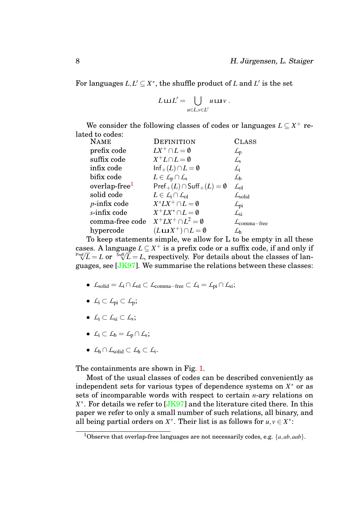For languages  $L, L' \subseteq X^*$ , the shuffle product of *L* and  $L'$  is the set

$$
L \mathbf{u} L' = \bigcup_{u \in L, v \in L'} u \mathbf{u} v.
$$

We consider the following classes of codes or languages  $L \subseteq X^+$  related to codes:

| <b>NAME</b>               | <b>DEFINITION</b>                                        | <b>CLASS</b>                      |
|---------------------------|----------------------------------------------------------|-----------------------------------|
| prefix code               | $LX^+\cap L=\emptyset$                                   | $L_{\rm p}$                       |
| suffix code               | $X^+L \cap L = \emptyset$                                | $\mathcal{L}_{\rm s}$             |
| infix code                | $\ln f_+(L) \cap L = \emptyset$                          | $\mathcal{L}_{i}$                 |
| bifix code                | $L \in \mathcal{L}_p \cap \mathcal{L}_s$                 | $\mathcal{L}_{h}$                 |
| overlap-free <sup>1</sup> | $\mathsf{Pref}_+(L) \cap \mathsf{Suff}_+(L) = \emptyset$ | $\mathcal{L}_{\text{ol}}$         |
| solid code                | $L \in \mathcal{L}_{i} \cap \mathcal{L}_{ol}$            | $\mathcal{L}_{\text{solid}}$      |
| $p$ -infix code           | $X^*LX^+\cap L=\emptyset$                                | $\mathcal{L}_{\text{pi}}$         |
| s-infix code              | $X^+L X^* \cap L = \emptyset$                            | $\mathcal{L}_{\rm{si}}$           |
| comma-free code           | $X^+LX^+\cap L^2=\emptyset$                              | $\mathcal{L}_{\text{comma-free}}$ |
| hypercode                 | $(L \sqcup X^+) \cap L = \emptyset$                      | ٦h                                |
|                           |                                                          |                                   |

To keep statements simple, we allow for L to be empty in all these cases. A language  $L \subseteq X^+$  is a prefix code or a suffix code, if and only if cases. A language  $L \subseteq X^+$  is a prenx code or a sumx code, if and only if  $\sqrt[n+1]{L} = L$  or  $\sqrt[5n]{L} = L$ , respectively. For details about the classes of languages, see [\[JK97\]](#page-42-0). We summarise the relations between these classes:

- $\bullet$  *L*<sub>solid</sub> = *L*<sub>i</sub> ∩ *L*<sub>ol</sub> ⊂ *L*<sub>comma−free ⊂ *L*<sub>i</sub> = *L*<sub>pi</sub> ∩ *L*<sub>si</sub>;</sub>
- *L*<sup>i</sup> ⊂ *L*pi ⊂ *L*p;
- *L*<sup>i</sup> ⊂ *L*si ⊂ *L*<sup>s</sup> ;
- *L*<sup>i</sup> ⊂ *L*<sup>b</sup> = *L*<sup>p</sup> ∩*L*<sup>s</sup> ;
- *L*<sup>h</sup> ∩*L*solid ⊂ *L*<sup>h</sup> ⊂ *L*<sup>i</sup> .

The containments are shown in Fig. [1.](#page-9-0)

Most of the usual classes of codes can be described conveniently as independent sets for various types of dependence systems on  $X^*$  or as sets of incomparable words with respect to certain *n*-ary relations on X<sup>\*</sup>. For details we refer to [\[JK97\]](#page-42-0) and the literature cited there. In this paper we refer to only a small number of such relations, all binary, and all being partial orders on  $X^*$ . Their list is as follows for  $u, v \in X^*$ :

<span id="page-8-0"></span><sup>1</sup>Observe that overlap-free languages are not necessarily codes, e.g. {*a*,*ab*,*aab*}.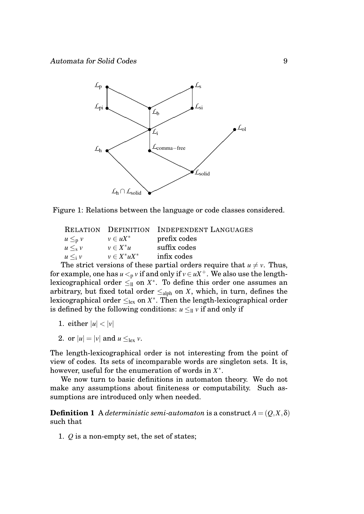

Figure 1: Relations between the language or code classes considered.

<span id="page-9-0"></span>

|                |                   | <b>RELATION DEFINITION INDEPENDENT LANGUAGES</b> |
|----------------|-------------------|--------------------------------------------------|
| $u \leq_{p} v$ | $v \in uX^*$      | prefix codes                                     |
| $u \leq_{s} v$ | $v \in X^*u$      | suffix codes                                     |
| $u \leq_i v$   | $v \in X^* u X^*$ | infix codes                                      |
|                |                   |                                                  |

The strict versions of these partial orders require that  $u \neq v$ . Thus, for example, one has  $u <_{p} v$  if and only if  $v \in uX^{+}$ . We also use the lengthlexicographical order  $\leq_{\mathrm{ll}}$  on  $X^*$ . To define this order one assumes an arbitrary, but fixed total order  $\leq_{\text{alpha}}$  on *X*, which, in turn, defines the lexicographical order  $\leq_{\rm lex}$  on  $X^*$ . Then the length-lexicographical order is defined by the following conditions:  $u \leq_{\mathrm{ll}} v$  if and only if

- 1. either  $|u| < |v|$
- 2. or  $|u| = |v|$  and  $u \leq_{\text{lex}} v$ .

The length-lexicographical order is not interesting from the point of view of codes. Its sets of incomparable words are singleton sets. It is, however, useful for the enumeration of words in *X* ∗ .

We now turn to basic definitions in automaton theory. We do not make any assumptions about finiteness or computability. Such assumptions are introduced only when needed.

**Definition 1** A *deterministic semi-automaton* is a construct  $A = (Q, X, \delta)$ such that

1. *Q* is a non-empty set, the set of states;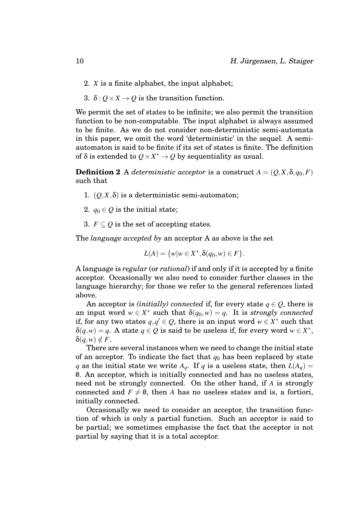- 2. *X* is a finite alphabet, the input alphabet;
- 3.  $\delta$  :  $Q \times X \rightarrow Q$  is the transition function.

We permit the set of states to be infinite; we also permit the transition function to be non-computable. The input alphabet is always assumed to be finite. As we do not consider non-deterministic semi-automata in this paper, we omit the word 'deterministic' in the sequel. A semiautomaton is said to be finite if its set of states is finite. The definition of  $\delta$  is extended to  $Q \times X^* \to Q$  by sequentiality as usual.

**Definition 2** A *deterministic acceptor* is a construct  $A = (Q, X, \delta, q_0, F)$ such that

- 1.  $(0, X, \delta)$  is a deterministic semi-automaton;
- 2.  $q_0 \in Q$  is the initial state;
- 3.  $F \subseteq O$  is the set of accepting states.

The *language accepted by* an acceptor A as above is the set

$$
L(A) = \{w \mid w \in X^*, \delta(q_0, w) \in F\}.
$$

A language is *regular* (or *rational*) if and only if it is accepted by a finite acceptor. Occasionally we also need to consider further classes in the language hierarchy; for those we refer to the general references listed above.

An acceptor is *(initially)* connected if, for every state  $q \in Q$ , there is an input word  $w \in X^*$  such that  $\delta(q_0, w) = q$ . It is *strongly connected* if, for any two states  $q, q' \in Q$ , there is an input word  $w \in X^*$  such that  $\delta(q, w) = q$ . A state  $q \in Q$  is said to be useless if, for every word  $w \in X^*$ ,  $\delta(q, w) \notin F$ .

There are several instances when we need to change the initial state of an acceptor. To indicate the fact that  $q_0$  has been replaced by state *q* as the initial state we write  $A_q$ . If *q* is a useless state, then  $L(A_q)$  = 0. An acceptor, which is initially connected and has no useless states, need not be strongly connected. On the other hand, if *A* is strongly connected and  $F \neq 0$ , then *A* has no useless states and is, a fortiori, initially connected.

Occasionally we need to consider an acceptor, the transition function of which is only a partial function. Such an acceptor is said to be partial; we sometimes emphasise the fact that the acceptor is not partial by saying that it is a total acceptor.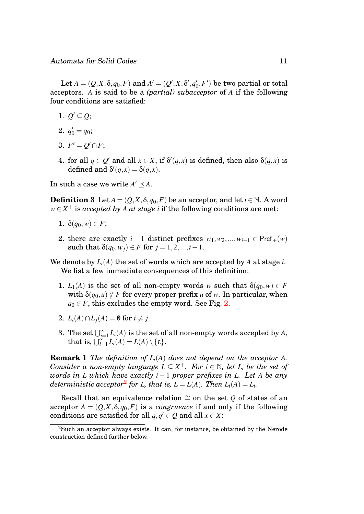Let  $A = (Q, X, \delta, q_0, F)$  and  $A' = (Q', X, \delta', q_0')$  $\mathcal{C}_0, F'$  be two partial or total acceptors. *A* is said to be a *(partial) subacceptor* of *A* if the following four conditions are satisfied:

- 1.  $Q' \subseteq Q$ ;
- 2.  $q'_0 = q_0;$
- 3.  $F' = Q' \cap F;$
- 4. for all  $q \in Q'$  and all  $x \in X$ , if  $\delta'(q,x)$  is defined, then also  $\delta(q,x)$  is defined and  $\delta'(q,x) = \delta(q,x)$ .

In such a case we write  $A' \preceq A$ .

**Definition 3** Let  $A = (Q, X, \delta, q_0, F)$  be an acceptor, and let  $i \in \mathbb{N}$ . A word  $w \in X^+$  is *accepted by A at stage i* if the following conditions are met:

- 1.  $\delta(q_0, w) \in F$ ;
- 2. there are exactly  $i-1$  distinct prefixes  $w_1, w_2, ..., w_{i-1} \in \text{Pref}_+(w)$ such that  $\delta(q_0, w_i) \in F$  for  $j = 1, 2, ..., i - 1$ .
- We denote by  $L_i(A)$  the set of words which are accepted by  $A$  at stage  $i$ . We list a few immediate consequences of this definition:
	- 1. *L*<sub>1</sub>(*A*) is the set of all non-empty words *w* such that  $\delta(q_0, w) \in F$ with  $\delta(q_0, u) \notin F$  for every proper prefix *u* of *w*. In particular, when  $q_0 \in F$ , this excludes the empty word. See Fig. [2.](#page-12-0)
	- 2.  $L_i(A) \cap L_i(A) = \emptyset$  for  $i \neq j$ .
	- 3. The set  $\bigcup_{i=1}^{\infty} L_i(A)$  is the set of all non-empty words accepted by *A*, that is,  $\bigcup_{i=1}^{\infty} L_i(A) = L(A) \setminus \{\varepsilon\}.$

<span id="page-11-1"></span>**Remark 1** *The definition of*  $L_i(A)$  *does not depend on the acceptor A. Consider a non-empty language*  $L \subseteq X^+$ *. For*  $i \in \mathbb{N}$ *, let*  $L_i$  *be the set of words in L which have exactly i* − 1 *proper prefixes in L. Let A be any*  $d$ *eterministic acceptor* $^2$  $^2$  *for L, that is,*  $L$  *=*  $L(A)$ *<i>. Then*  $L_i(A)$  *=*  $L_i$ *.* 

Recall that an equivalence relation  $\cong$  on the set  $Q$  of states of an acceptor  $A = (Q, X, \delta, q_0, F)$  is a *congruence* if and only if the following conditions are satisfied for all  $q, q' \in Q$  and all  $x \in X$ :

<span id="page-11-0"></span><sup>2</sup>Such an acceptor always exists. It can, for instance, be obtained by the Nerode construction defined further below.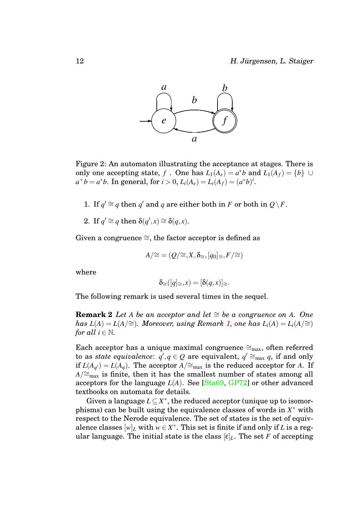

<span id="page-12-0"></span>Figure 2: An automaton illustrating the acceptance at stages. There is only one accepting state, *f*. One has  $L_1(A_e) = a^*b$  and  $L_1(A_f) = \{b\} \cup$  $a^+b = a^*b$ . In general, for  $i > 0$ ,  $L_i(A_e) = L_i(A_f) = (a^*b)^i$ .

- 1. If  $q' \cong q$  then  $q'$  and  $q$  are either both in  $F$  or both in  $Q \backslash F$ .
- 2. If  $q' \cong q$  then  $\delta(q',x) \cong \delta(q,x)$ .

Given a congruence  $\cong$ , the factor acceptor is defined as

$$
A/\cong=(Q/\cong,X,\delta_{\cong},[q_0]_{\cong},F/\cong)
$$

where

<span id="page-12-1"></span>
$$
\delta_{\cong}([q]_{\cong},x)=[\delta(q,x)]_{\cong}.
$$

The following remark is used several times in the sequel.

**Remark 2** *Let A be an acceptor and let*  $\cong$  *be a congruence on A. One has*  $L(A) = L(A)$  ≃ $)$ *. Moreover, using Remark [1,](#page-11-1) one has*  $L_i(A) = L_i(A)$  ≃ $)$ *for all*  $i \in \mathbb{N}$ *.* 

Each acceptor has a unique maximal congruence  $\cong_{\text{max}}$ , often referred to as *state equivalence*:  $q', q \in Q$  are equivalent,  $q' \cong_{\text{max}}^{\text{max}} q$ , if and only if  $L(A_{q'}) = L(A_q)$ . The acceptor  $\widetilde{A}/\cong_{\text{max}}$  is the reduced acceptor for *A*. If *A*/≅<sub>max</sub> is finite, then it has the smallest number of states among all acceptors for the language *L*(*A*). See [\[Sta69,](#page-45-9) [GP72\]](#page-41-3) or other advanced textbooks on automata for details.

Given a language  $L \subseteq X^*$ , the reduced acceptor (unique up to isomorphisms) can be built using the equivalence classes of words in  $X^*$  with respect to the Nerode equivalence. The set of states is the set of equivalence classes  $[w]_L$  with  $w \in X^*$ . This set is finite if and only if *L* is a regular language. The initial state is the class  $[\epsilon]_L$ . The set *F* of accepting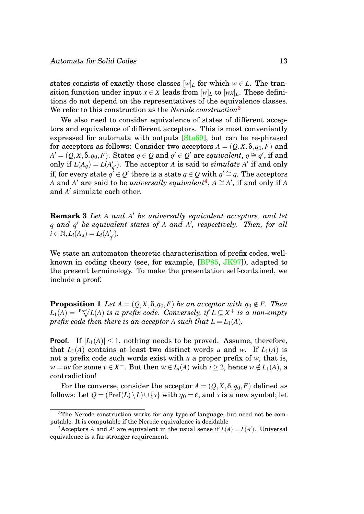states consists of exactly those classes  $[w]_L$  for which  $w \in L$ . The transition function under input  $x \in X$  leads from  $[w]_L$  to  $[wx]_L$ . These definitions do not depend on the representatives of the equivalence classes. We refer to this construction as the *Nerode construction*[3](#page-13-0)

We also need to consider equivalence of states of different acceptors and equivalence of different acceptors. This is most conveniently expressed for automata with outputs [\[Sta69\]](#page-45-9), but can be re-phrased for acceptors as follows: Consider two acceptors  $A = (Q, X, \delta, q_0, F)$  and  $A' = (Q, X, \delta, q_0, F)$ . States  $q \in Q$  and  $q' \in Q'$  are *equivalent*,  $q \cong q'$ , if and only if  $L(A_q) = L(A_q)$  $q'$ ). The acceptor *A* is said to *simulate A*<sup> $\prime$ </sup> if and only if, for every state  $q^{\not\prime}\in Q'$  there is a state  $q\in Q$  with  $q'\cong q.$  The acceptors *A* and *A'* are said to be *universally equivalent*<sup>[4](#page-13-1)</sup>,  $A \cong A'$ , if and only if *A* and A' simulate each other.

<span id="page-13-3"></span>**Remark 3** *Let A and A* <sup>0</sup> *be universally equivalent acceptors, and let q and q* <sup>0</sup> *be equivalent states of A and A* 0 *, respectively. Then, for all*  $i \in \mathbb{N}, L_i(A_q) = L_i(A_q)$  $'_{q'}$ ).

<span id="page-13-2"></span>We state an automaton theoretic characterisation of prefix codes, wellknown in coding theory (see, for example, [\[BP85,](#page-40-1) [JK97\]](#page-42-0)), adapted to the present terminology. To make the presentation self-contained, we include a proof.

**Proposition 1** *Let*  $A = (Q, X, \delta, q_0, F)$  *be an acceptor with*  $q_0 \notin F$ *. Then*  $L_1(A) = \sqrt[\mathrm{Pref}]{L(A)}$  is a prefix code. Conversely, if  $L \subseteq X^+$  is a non-empty *prefix code then there is an acceptor A such that*  $L = L_1(A)$ *.* 

**Proof.** If  $|L_1(A)| \leq 1$ , nothing needs to be proved. Assume, therefore, that  $L_1(A)$  contains at least two distinct words *u* and *w*. If  $L_1(A)$  is not a prefix code such words exist with *u* a proper prefix of *w*, that is,  $w = uv$  for some  $v \in X^+$ . But then  $w \in L_i(A)$  with  $i \geq 2$ , hence  $w \notin L_1(A)$ , a contradiction!

For the converse, consider the acceptor  $A = (Q, X, \delta, q_0, F)$  defined as follows: Let  $Q = (\text{Pref}(L) \setminus L) \cup \{s\}$  with  $q_0 = \varepsilon$ , and *s* is a new symbol; let

<span id="page-13-0"></span><sup>3</sup>The Nerode construction works for any type of language, but need not be computable. It is computable if the Nerode equivalence is decidable

<span id="page-13-1"></span><sup>&</sup>lt;sup>4</sup> Acceptors *A* and *A'* are equivalent in the usual sense if  $L(A) = L(A')$ . Universal equivalence is a far stronger requirement.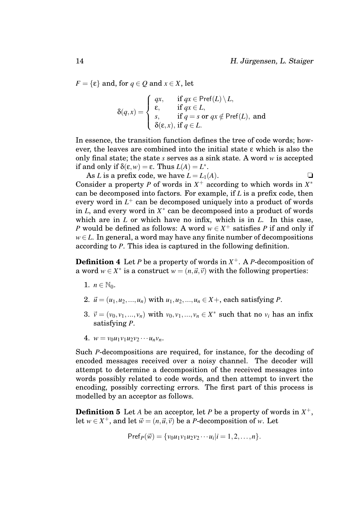$F = \{\varepsilon\}$  and, for  $q \in Q$  and  $x \in X$ , let

$$
\delta(q,x) = \begin{cases}\nqx, & \text{if } qx \in \text{Pref}(L) \setminus L, \\
\epsilon, & \text{if } qx \in L, \\
s, & \text{if } q = s \text{ or } qx \notin \text{Pref}(L), \text{ and} \\
\delta(\epsilon, x), & \text{if } q \in L.\n\end{cases}
$$

In essence, the transition function defines the tree of code words; however, the leaves are combined into the initial state ε which is also the only final state; the state *s* serves as a sink state. A word *w* is accepted if and only if  $\delta(\varepsilon, w) = \varepsilon$ . Thus  $L(A) = L^*$ .

As *L* is a prefix code, we have  $L = L_1(A)$ . Consider a property *P* of words in  $X^+$  according to which words in  $X^*$ can be decomposed into factors. For example, if *L* is a prefix code, then every word in *L* <sup>+</sup> can be decomposed uniquely into a product of words in *L*, and every word in *X* ∗ can be decomposed into a product of words which are in *L* or which have no infix, which is in *L*. In this case, *P* would be defined as follows: A word  $w \in X^+$  satisfies *P* if and only if  $w \in L$ . In general, a word may have any finite number of decompositions according to *P*. This idea is captured in the following definition.

**Definition 4** Let *P* be a property of words in *X* <sup>+</sup>. A *P*-decomposition of a word  $w \in X^*$  is a construct  $w = (n, \vec{u}, \vec{v})$  with the following properties:

- <span id="page-14-1"></span>1.  $n \in \mathbb{N}_0$ .
- 2.  $\vec{u} = (u_1, u_2, ..., u_n)$  with  $u_1, u_2, ..., u_n \in X +$ , each satisfying *P*.
- 3.  $\vec{v} = (v_0, v_1, ..., v_n)$  with  $v_0, v_1, ..., v_n \in X^*$  such that no  $v_i$  has an infix satisfying *P*.
- 4.  $w = v_0 u_1 v_1 u_2 v_2 \cdots u_n v_n$ .

Such *P*-decompositions are required, for instance, for the decoding of encoded messages received over a noisy channel. The decoder will attempt to determine a decomposition of the received messages into words possibly related to code words, and then attempt to invert the encoding, possibly correcting errors. The first part of this process is modelled by an acceptor as follows.

**Definition 5** Let *A* be an acceptor, let *P* be a property of words in  $X^+$ , let  $w \in X^+$ , and let  $\vec{w} = (n, \vec{u}, \vec{v})$  be a *P*-decomposition of *w*. Let

<span id="page-14-0"></span>
$$
\text{Pref}_P(\vec{w}) = \{v_0u_1v_1u_2v_2\cdots u_i | i = 1, 2, \ldots, n\}.
$$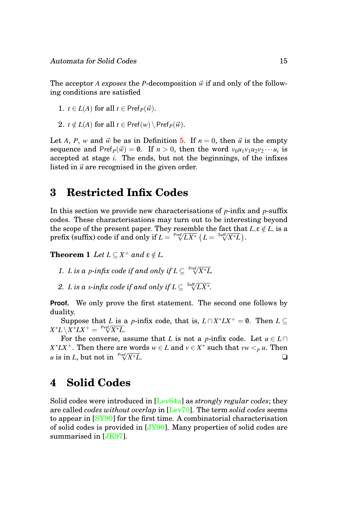The acceptor *A exposes* the *P*-decomposition  $\vec{w}$  if and only of the following conditions are satisfied

1. 
$$
t \in L(A)
$$
 for all  $t \in \text{Pref}_P(\vec{w})$ .

2.  $t \notin L(A)$  for all  $t \in \text{Pref}(w) \setminus \text{Pref}_P(\vec{w})$ .

Let *A*, *P*, *w* and  $\vec{w}$  be as in Definition [5.](#page-14-0) If  $n = 0$ , then  $\vec{u}$  is the empty sequence and Pref<sub>*P*</sub>( $\vec{w}$ ) = 0. If *n* > 0, then the word  $v_0u_1v_1u_2v_2\cdots u_i$  is accepted at stage *i*. The ends, but not the beginnings, of the infixes listed in  $\vec{u}$  are recognised in the given order.

# <span id="page-15-0"></span>**3 Restricted Infix Codes**

In this section we provide new characterisations of *p*-infix and *p*-suffix codes. These characterisations may turn out to be interesting beyond the scope of the present paper. They resemble the fact that  $L, \varepsilon \notin L$ , is a the scope of the present paper. They resemble the fact that prefix (suffix) code if and only if  $L = \sqrt{\frac{\text{Perf}}{L} / L^*}$  ( $L = \sqrt{\frac{\text{Surf}}{V} / X^*} L$ ).

**Theorem 1** *Let*  $L \subseteq X^+$  *and*  $\epsilon \notin L$ *.* 

- 1. *L* is a *p*-infix code if and only if  $L \subseteq \sqrt[Pref]{X^*L}$ .
- 2. *L* is a *s*-infix code if and only if  $L \subseteq \sqrt[S]{L X^*}.$

**Proof.** We only prove the first statement. The second one follows by duality.

Suppose that *L* is a *p*-infix code, that is,  $L \cap X^* L X^+ = \emptyset$ . Then  $L \subseteq$  $X^*L \setminus X^*LX^+ = \sqrt[\mathsf{Pref}/X^*L.$ 

For the converse, assume that *L* is not a *p*-infix code. Let  $u \in L \cap$  $X^* L X^+$ . Then there are words  $w \in L$  and  $v \in X^*$  such that  $vw <sub>p</sub> u$ . Then *u* is in *L*, but not in  $\sqrt{\frac{Prf}{X^*L}}$ . *X*∗*L*. ❏

# <span id="page-15-1"></span>**4 Solid Codes**

Solid codes were introduced in [\[Lev64a\]](#page-44-0) as *strongly regular codes*; they are called *codes without overlap* in [\[Lev70\]](#page-44-4). The term *solid codes* seems to appear in [\[SY90\]](#page-45-10) for the first time. A combinatorial characterisation of solid codes is provided in  $[JY90]$ . Many properties of solid codes are summarised in [\[JK97\]](#page-42-0).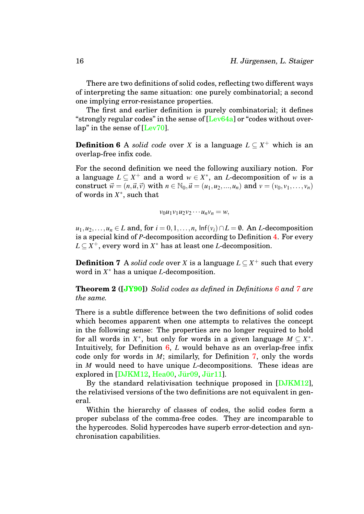There are two definitions of solid codes, reflecting two different ways of interpreting the same situation: one purely combinatorial; a second one implying error-resistance properties.

The first and earlier definition is purely combinatorial; it defines "strongly regular codes" in the sense of [\[Lev64a\]](#page-44-0) or "codes without overlap" in the sense of [\[Lev70\]](#page-44-4).

**Definition 6** A *solid code* over *X* is a language  $L \subseteq X^+$  which is an overlap-free infix code.

For the second definition we need the following auxiliary notion. For a language  $L \subseteq X^+$  and a word  $w \in X^*$ , an *L*-decomposition of *w* is a construct  $\vec{w} = (n, \vec{u}, \vec{v})$  with  $n \in \mathbb{N}_0, \vec{u} = (u_1, u_2, ..., u_n)$  and  $v = (v_0, v_1, ..., v_n)$ of words in *X* ∗ , such that

<span id="page-16-1"></span><span id="page-16-0"></span>
$$
v_0u_1v_1u_2v_2\cdots u_nv_n=w,
$$

*u*<sub>1</sub>,*u*<sub>2</sub>,...,*u*<sub>*n*</sub> ∈ *L* and, for *i* = 0,1,...,*n*,  $\text{Inf}(v_i) \cap L = \emptyset$ . An *L*-decomposition is a special kind of *P*-decomposition according to Definition [4.](#page-14-1) For every  $L \subseteq X^+$ , every word in  $X^*$  has at least one *L*-decomposition.

**Definition 7** A *solid code* over *X* is a language  $L \subseteq X^+$  such that every word in *X* <sup>∗</sup> has a unique *L*-decomposition.

**Theorem 2 ([\[JY90\]](#page-43-3))** *Solid codes as defined in Definitions [6](#page-16-0) and [7](#page-16-1) are the same.*

There is a subtle difference between the two definitions of solid codes which becomes apparent when one attempts to relatives the concept in the following sense: The properties are no longer required to hold for all words in  $X^*$ , but only for words in a given language  $M \subseteq X^*$ . Intuitively, for Definition [6,](#page-16-0) *L* would behave as an overlap-free infix code only for words in *M*; similarly, for Definition [7,](#page-16-1) only the words in *M* would need to have unique *L*-decompositions. These ideas are explored in  $[DJKM12, Head00, Jür09, Jür11]$  $[DJKM12, Head00, Jür09, Jür11]$ .

By the standard relativisation technique proposed in [\[DJKM12\]](#page-41-4), the relativised versions of the two definitions are not equivalent in general.

Within the hierarchy of classes of codes, the solid codes form a proper subclass of the comma-free codes. They are incomparable to the hypercodes. Solid hypercodes have superb error-detection and synchronisation capabilities.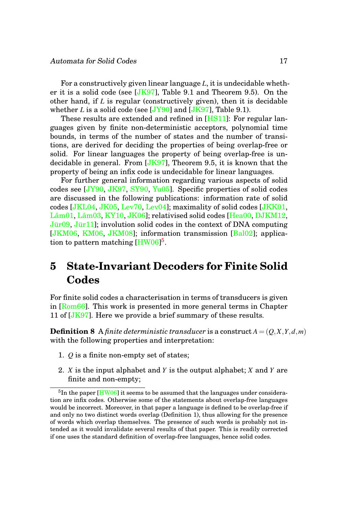For a constructively given linear language *L*, it is undecidable whether it is a solid code (see  $[JK97]$ , Table 9.1 and Theorem 9.5). On the other hand, if *L* is regular (constructively given), then it is decidable whether *L* is a solid code (see  $[JY90]$  and  $[JK97]$ , Table 9.1).

These results are extended and refined in [\[HS11\]](#page-42-2): For regular languages given by finite non-deterministic acceptors, polynomial time bounds, in terms of the number of states and the number of transitions, are derived for deciding the properties of being overlap-free or solid. For linear languages the property of being overlap-free is undecidable in general. From [\[JK97\]](#page-42-0), Theorem 9.5, it is known that the property of being an infix code is undecidable for linear languages.

For further general information regarding various aspects of solid codes see [\[JY90,](#page-43-3) [JK97,](#page-42-0) [SY90,](#page-45-10) [Yu05\]](#page-46-0). Specific properties of solid codes are discussed in the following publications: information rate of solid codes [\[JKL04,](#page-42-3) [JK05,](#page-42-4) [Lev70,](#page-44-4) [Lev04\]](#page-44-5); maximality of solid codes [\[JKK01,](#page-42-5) Lâm01, Lâm03, [KY10,](#page-43-7) [JK06\]](#page-42-6); relativised solid codes [\[Hea00,](#page-41-5) [DJKM12,](#page-41-4)  $J\ddot{u}r09$ ,  $J\ddot{u}r11$ ; involution solid codes in the context of DNA computing [\[JKM06,](#page-42-7) [KM06,](#page-43-8) [JKM08\]](#page-43-9); information transmission [\[Bal02\]](#page-40-2); applica-tion to pattern matching [\[HW06\]](#page-42-8)<sup>[5](#page-17-1)</sup>.

# <span id="page-17-0"></span>**5 State-Invariant Decoders for Finite Solid Codes**

For finite solid codes a characterisation in terms of transducers is given in [\[Rom66\]](#page-45-1). This work is presented in more general terms in Chapter 11 of [\[JK97\]](#page-42-0). Here we provide a brief summary of these results.

**Definition 8** A *finite deterministic transducer* is a construct  $A = (Q, X, Y, d, m)$ with the following properties and interpretation:

- 1. *Q* is a finite non-empty set of states;
- 2. *X* is the input alphabet and *Y* is the output alphabet; *X* and *Y* are finite and non-empty;

<span id="page-17-1"></span> ${}^{5}$ In the paper [\[HW06\]](#page-42-8) it seems to be assumed that the languages under consideration are infix codes. Otherwise some of the statements about overlap-free languages would be incorrect. Moreover, in that paper a language is defined to be overlap-free if and only no two distinct words overlap (Definition 1), thus allowing for the presence of words which overlap themselves. The presence of such words is probably not intended as it would invalidate several results of that paper. This is readily corrected if one uses the standard definition of overlap-free languages, hence solid codes.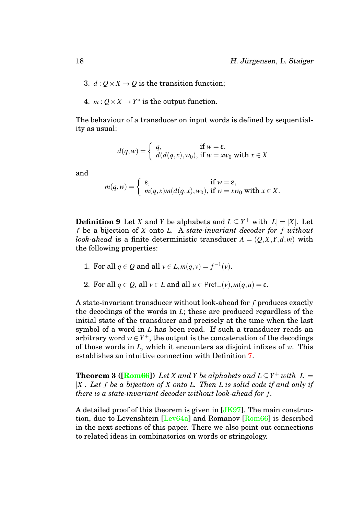- 3.  $d: Q \times X \rightarrow Q$  is the transition function;
- 4.  $m: Q \times X \rightarrow Y^*$  is the output function.

The behaviour of a transducer on input words is defined by sequentiality as usual:

$$
d(q, w) = \begin{cases} q, & \text{if } w = \varepsilon, \\ d(d(q, x), w_0), & \text{if } w = xw_0 \text{ with } x \in X \end{cases}
$$

and

$$
m(q, w) = \begin{cases} \varepsilon, & \text{if } w = \varepsilon, \\ m(q, x)m(d(q, x), w_0), & \text{if } w = xw_0 \text{ with } x \in X. \end{cases}
$$

<span id="page-18-0"></span>**Definition 9** Let *X* and *Y* be alphabets and  $L \subseteq Y^+$  with  $|L| = |X|$ . Let *f* be a bijection of *X* onto *L*. A *state-invariant decoder for f without look-ahead* is a finite deterministic transducer  $A = (Q, X, Y, d, m)$  with the following properties:

- 1. For all  $q \in Q$  and all  $v \in L$ ,  $m(q, v) = f^{-1}(v)$ .
- 2. For all  $q \in Q$ , all  $v \in L$  and all  $u \in \text{Pref}_{+}(v)$ ,  $m(q, u) = \varepsilon$ .

A state-invariant transducer without look-ahead for *f* produces exactly the decodings of the words in *L*; these are produced regardless of the initial state of the transducer and precisely at the time when the last symbol of a word in *L* has been read. If such a transducer reads an arbitrary word  $w \in Y^+$ , the output is the concatenation of the decodings of those words in *L*, which it encounters as disjoint infixes of *w*. This establishes an intuitive connection with Definition [7.](#page-16-1)

<span id="page-18-1"></span>**Theorem 3 ([\[Rom66\]](#page-45-1))** Let *X* and *Y* be alphabets and  $L \subseteq Y^+$  with  $|L| =$ |*X*|*. Let f be a bijection of X onto L. Then L is solid code if and only if there is a state-invariant decoder without look-ahead for f .*

A detailed proof of this theorem is given in [\[JK97\]](#page-42-0). The main construction, due to Levenshtein [\[Lev64a\]](#page-44-0) and Romanov [\[Rom66\]](#page-45-1) is described in the next sections of this paper. There we also point out connections to related ideas in combinatorics on words or stringology.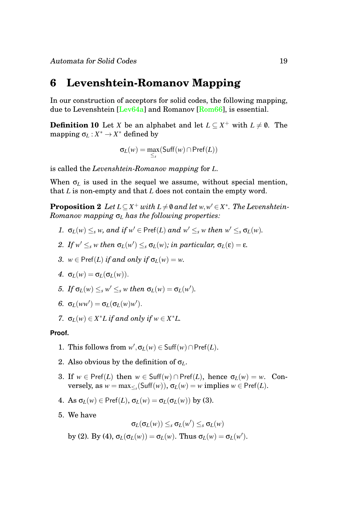### <span id="page-19-0"></span>**6 Levenshtein-Romanov Mapping**

In our construction of acceptors for solid codes, the following mapping, due to Levenshtein [\[Lev64a\]](#page-44-0) and Romanov [\[Rom66\]](#page-45-1), is essential.

**Definition 10** Let *X* be an alphabet and let  $L \subseteq X^+$  with  $L \neq \emptyset$ . The mapping  $\sigma_L: X^* \to X^*$  defined by

<span id="page-19-1"></span>
$$
\sigma_L(w) = \max_{\leq_s}(\mathsf{Suff}(w) \cap \mathsf{Pref}(L))
$$

is called the *Levenshtein-Romanov mapping* for *L*.

When  $\sigma$ <sub>L</sub> is used in the sequel we assume, without special mention, that *L* is non-empty and that *L* does not contain the empty word.

**Proposition 2** Let  $L \subseteq X^+$  with  $L \neq \emptyset$  and let  $w, w' \in X^*$ . The Levenshtein-*Romanov mapping* σ*<sup>L</sup> has the following properties:*

- *1.*  $\sigma_L(w) \leq_s w$ *, and if*  $w' \in \text{Pref}(L)$  *and*  $w' \leq_s w$  *then*  $w' \leq_s \sigma_L(w)$ *.*
- *2. If*  $w' \leq_s w$  *then*  $\sigma_L(w') \leq_s \sigma_L(w)$ *; in particular,*  $\sigma_L(\varepsilon) = \varepsilon$ *.*
- *3.*  $w \in \text{Pref}(L)$  *if and only if*  $\sigma_L(w) = w$ .
- *4.*  $σ<sub>L</sub>(w) = σ<sub>L</sub>(σ<sub>L</sub>(w)).$
- *5. If*  $\sigma_L(w) \leq_s w' \leq_s w$  *then*  $\sigma_L(w) = \sigma_L(w')$ *.*
- *6.*  $\sigma$ <sub>*L*</sub>(*ww'*) =  $\sigma$ <sub>*L*</sub>( $\sigma$ <sub>*L*</sub>(*w*)*w'*).
- *7.*  $\sigma_L(w) \in X^*L$  *if and only if*  $w \in X^*L$ .

#### **Proof.**

- 1. This follows from  $w'$ ,  $\sigma$ <sub>*L*</sub>(*w*)  $\in$  Suff(*w*)  $\cap$  Pref(*L*).
- 2. Also obvious by the definition of σ*L*.
- 3. If  $w \in \text{Pref}(L)$  then  $w \in \text{Suff}(w) \cap \text{Pref}(L)$ , hence  $\sigma_L(w) = w$ . Con- $\text{versely, as } w = \max_{\leq s}(\text{Suff}(w)), \sigma_L(w) = w \text{ implies } w \in \text{Pref}(L).$
- 4. As  $\sigma_L(w) \in \text{Pref}(L)$ ,  $\sigma_L(w) = \sigma_L(\sigma_L(w))$  by (3).
- 5. We have

$$
\sigma_L(\sigma_L(w)) \leq_s \sigma_L(w') \leq_s \sigma_L(w)
$$

by (2). By (4),  $\sigma_L(\sigma_L(w)) = \sigma_L(w)$ . Thus  $\sigma_L(w) = \sigma_L(w')$ .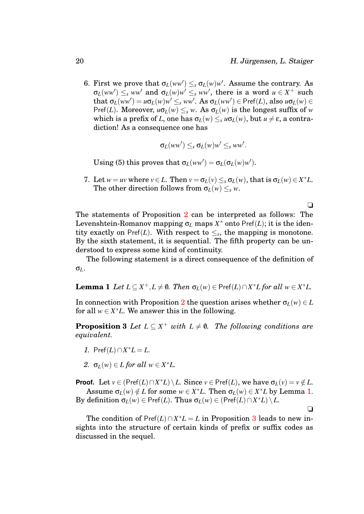$\Box$ 

❏

6. First we prove that  $\sigma_L(ww') \leq_s \sigma_L(w)w'$ . Assume the contrary. As  $\sigma_L(ww') \leq_s ww'$  and  $\sigma_L(w)w' \leq_s ww'$ , there is a word  $u \in X^+$  such that  $\sigma_L(ww') = u\sigma_L(w)w' \leq_s ww'$ . As  $\sigma_L(ww') \in \text{Pref}(L)$ , also  $u\sigma_L(w) \in$ Pref(*L*). Moreover,  $u\sigma$ <sub>*L*</sub>(*w*)  $\leq$ <sub>*s*</sub> *w*. As  $\sigma$ <sub>*L*</sub>(*w*) is the longest suffix of *w* which is a prefix of *L*, one has  $\sigma_L(w) \leq_s u \sigma_L(w)$ , but  $u \neq \varepsilon$ , a contradiction! As a consequence one has

$$
\sigma_L(ww') \leq_s \sigma_L(w)w' \leq_s ww'.
$$

Using (5) this proves that  $\sigma_L(ww') = \sigma_L(\sigma_L(w)w')$ .

7. Let  $w = uv$  where  $v \in L$ . Then  $v = \sigma_L(v) \leq_s \sigma_L(w)$ , that is  $\sigma_L(w) \in X^*L$ . The other direction follows from  $\sigma_L(w) \leq_s w$ .

The statements of Proposition [2](#page-19-1) can be interpreted as follows: The Levenshtein-Romanov mapping  $\sigma_L$  maps  $X^*$  onto  $\text{Pref}(L)$ ; it is the identity exactly on  $\text{Pref}(L)$ . With respect to  $\leq_s$ , the mapping is monotone. By the sixth statement, it is sequential. The fifth property can be understood to express some kind of continuity.

<span id="page-20-0"></span>The following statement is a direct consequence of the definition of σ*L*.

**Lemma 1** *Let*  $L \subseteq X^+, L \neq \emptyset$ . *Then*  $\sigma_L(w) \in \text{Pref}(L) \cap X^*L$  for all  $w \in X^*L$ .

In connection with Proposition [2](#page-19-1) the question arises whether  $\sigma_L(w) \in L$ for all  $w \in X^*L$ . We answer this in the following.

<span id="page-20-1"></span>**Proposition 3** *Let*  $L \subseteq X^+$  *with*  $L \neq \emptyset$ *. The following conditions are equivalent.*

- *1.* Pref(*L*) ∩  $X^*L = L$ .
- 2.  $\sigma_L(w) \in L$  *for all*  $w \in X^*L$ .

**Proof.** Let  $v \in (\text{Pref}(L) \cap X^*L) \setminus L$ . Since  $v \in \text{Pref}(L)$ , we have  $\sigma_L(v) = v \notin L$ . Assume  $\sigma_L(w) \notin L$  for some  $w \in X^*L$ . Then  $\sigma_L(w) \in X^*L$  by Lemma [1.](#page-20-0)  $\mathsf{By}$  definition  $\sigma_L(w) \in \mathsf{Pref}(L)$ . Thus  $\sigma_L(w) \in (\mathsf{Pref}(L) \cap X^*L) \setminus L$ .

The condition of  $\text{Pref}(L) \cap X^*L = L$  in Proposition [3](#page-20-1) leads to new insights into the structure of certain kinds of prefix or suffix codes as discussed in the sequel.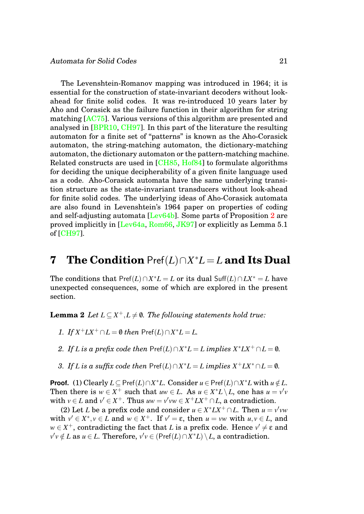The Levenshtein-Romanov mapping was introduced in 1964; it is essential for the construction of state-invariant decoders without lookahead for finite solid codes. It was re-introduced 10 years later by Aho and Corasick as the failure function in their algorithm for string matching [\[AC75\]](#page-40-3). Various versions of this algorithm are presented and analysed in [\[BPR10,](#page-40-0) [CH97\]](#page-41-6). In this part of the literature the resulting automaton for a finite set of "patterns" is known as the Aho-Corasick automaton, the string-matching automaton, the dictionary-matching automaton, the dictionary automaton or the pattern-matching machine. Related constructs are used in [\[CH85,](#page-40-4) [Hof84\]](#page-41-7) to formulate algorithms for deciding the unique decipherability of a given finite language used as a code. Aho-Corasick automata have the same underlying transition structure as the state-invariant transducers without look-ahead for finite solid codes. The underlying ideas of Aho-Corasick automata are also found in Levenshtein's 1964 paper on properties of coding and self-adjusting automata [\[Lev64b\]](#page-44-3). Some parts of Proposition [2](#page-19-1) are proved implicitly in [\[Lev64a,](#page-44-0) [Rom66,](#page-45-1) [JK97\]](#page-42-0) or explicitly as Lemma 5.1 of [\[CH97\]](#page-41-6).

# <span id="page-21-0"></span>**7 The Condition** Pref(*L*)∩*X* <sup>∗</sup>*L* = *L* **and Its Dual**

<span id="page-21-1"></span>The conditions that  $\text{Pref}(L) \cap X^*L = L$  or its dual  $\text{Suff}(L) \cap LX^* = L$  have unexpected consequences, some of which are explored in the present section.

**Lemma 2** *Let*  $L \subseteq X^+, L \neq \emptyset$ . The following statements hold true:

- *1. If*  $X^+LX^+ ∩ L = 0$  *then* Pref(*L*)∩ $X^*L = L$ .
- *2. If L* is a prefix code then  $\text{Pref}(L) \cap X^*L = L$  implies  $X^*LX^+ \cap L = \emptyset$ *.*
- *3. If L* is a suffix code then  $\text{Pref}(L) \cap X^*L = L$  implies  $X^+LX^* \cap L = \emptyset$ .

**Proof.** (1) Clearly  $L \subseteq \text{Pref}(L) \cap X^*L$ . Consider  $u \in \text{Pref}(L) \cap X^*L$  with  $u \notin L$ . Then there is  $w \in X^+$  such that  $uw \in L$ . As  $u \in X^*L \setminus L$ , one has  $u = v'v$ with  $v \in L$  and  $v' \in X^+$ . Thus  $uw = v'vw \in X^+LX^+ \cap L$ , a contradiction.

(2) Let *L* be a prefix code and consider  $u \in X^* L X^+ \cap L$ . Then  $u = v'vw$ with  $v' \in X^*$ ,  $v \in L$  and  $w \in X^+$ . If  $v' = \varepsilon$ , then  $u = vw$  with  $u, v \in L$ , and  $w \in X^+$ , contradicting the fact that *L* is a prefix code. Hence  $v' \neq \epsilon$  and  $v'v \notin L$  as  $u \in L$ . Therefore,  $v'v \in (\text{Pref}(L) \cap X^*L) \setminus L$ , a contradiction.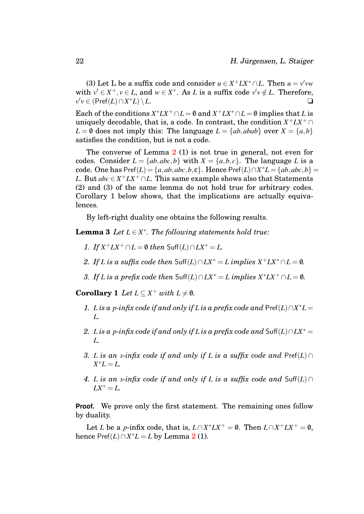(3) Let L be a suffix code and consider  $u \in X^+ L X^* \cap L$ . Then  $u = v'vw$ with  $v' \in X^+, v \in L$ , and  $w \in X^*$ . As *L* is a suffix code  $v'v \notin L$ . Therefore,  $v'v$  ∈ (Pref(*L*)∩*X*  $\langle L \rangle \setminus L.$ 

Each of the conditions  $X^* L X^+ \cap L = \emptyset$  and  $X^+ L X^* \cap L = \emptyset$  implies that *L* is uniquely decodable, that is, a code. In contrast, the condition *X* <sup>+</sup>*LX*<sup>+</sup> ∩  $L = \emptyset$  does not imply this: The language  $L = \{ab, abab\}$  over  $X = \{a, b\}$ satisfies the condition, but is not a code.

The converse of Lemma  $2(1)$  $2(1)$  is not true in general, not even for codes. Consider  $L = \{ab, abc, b\}$  with  $X = \{a, b, c\}$ . The language *L* is a code. One has  $\text{Pref}(L) = \{a, ab, abc, b, \varepsilon\}$ . Hence  $\text{Pref}(L) \cap X^*L = \{ab, abc, b\}$ *L*. But  $abc \in X^+ L X^+ \cap L$ . This same example shows also that Statements (2) and (3) of the same lemma do not hold true for arbitrary codes. Corollary 1 below shows, that the implications are actually equivalences.

By left-right duality one obtains the following results.

**Lemma 3** *Let*  $L \in X^*$ *. The following statements hold true:* 

- *1. If*  $X^+ L X^+ ∩ L = 0$  *then* Suff(*L*) ∩  $L X^* = L$ *.*
- *2. If L* is a suffix code then  $\text{Suff}(L) \cap LX^* = L$  *implies*  $X^+ L X^* \cap L = \emptyset$ *.*
- *3. If L is a prefix code then*  $\text{Suff}(L) \cap LX^* = L$  *implies*  $X^* L X^+ \cap L = \emptyset$ *.*

<span id="page-22-0"></span>**Corollary 1** *Let*  $L \subseteq X^+$  *with*  $L \neq \emptyset$ *.* 

- *1. L* is a *p*-infix code if and only if *L* is a prefix code and  $\text{Pref}(L) \cap X^*L =$ *L.*
- *2. L* is a *p*-infix code if and only if *L* is a prefix code and Suff(*L*)∩*LX*<sup>\*</sup> = *L.*
- *3. L* is an *s*-infix code if and only if *L* is a suffix code and  $\text{Pref}(L) \cap$  $X^*L = L$ .
- *4. L* is an *s*-infix code if and only if *L* is a suffix code and Suff(*L*) ∩  $LX^* = L$ .

**Proof.** We prove only the first statement. The remaining ones follow by duality.

Let *L* be a *p*-infix code, that is,  $L \cap X^* L X^+ = \emptyset$ . Then  $L \cap X^+ L X^+ = \emptyset$ , hence  $\text{Pref}(L) \cap X^*L = L$  by Lemma [2](#page-21-1) (1).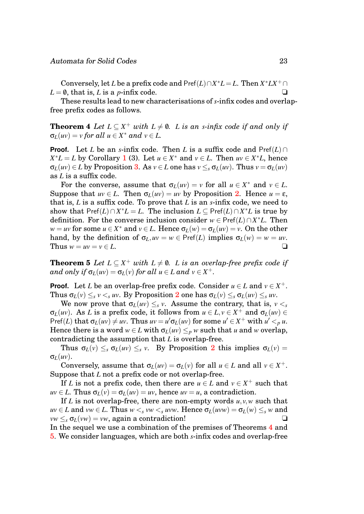Conversely, let *L* be a prefix code and  $\text{Pref}(L) \cap X^*L = L$ . Then  $X^* L X^+ \cap$  $L = \emptyset$ , that is, *L* is a *p*-infix code.

<span id="page-23-0"></span>These results lead to new characterisations of *s*-infix codes and overlapfree prefix codes as follows.

**Theorem 4** *Let*  $L \subseteq X^+$  *with*  $L \neq \emptyset$ *. L is an s-infix code if and only if*  $\sigma_L(uv) = v$  *for all*  $u \in X^*$  *and*  $v \in L$ *.* 

**Proof.** Let *L* be an *s*-infix code. Then *L* is a suffix code and Pref $(L) \cap$  $X^*L = L$  by Corollary [1](#page-22-0) (3). Let  $u \in X^*$  and  $v \in L$ . Then  $uv \in X^*L$ , hence  $\sigma_L(uv) \in L$  by Proposition [3.](#page-20-1) As  $v \in L$  one has  $v \leq_s \sigma_L(uv)$ . Thus  $v = \sigma_L(uv)$ as *L* is a suffix code.

For the converse, assume that  $\sigma_L(uv) = v$  for all  $u \in X^*$  and  $v \in L$ . Suppose that  $uv \in L$ . Then  $\sigma_L(uv) = uv$  by Proposition [2.](#page-19-1) Hence  $u = \varepsilon$ , that is, *L* is a suffix code. To prove that *L* is an *s*-infix code, we need to show that  $\text{Pref}(L) \cap X^*L = L$ . The inclusion  $L \subseteq \text{Pref}(L) \cap X^*L$  is true by definition. For the converse inclusion consider  $w \in \text{Pref}(L) \cap X^*L$ . Then *w* = *uv* for some  $u \in X^*$  and  $v \in L$ . Hence  $\sigma_L(w) = \sigma_L(uv) = v$ . On the other hand, by the definition of  $\sigma$ *L*,  $uv = w \in \text{Pref}(L)$  implies  $\sigma$ *L*(*w*) =  $w = uv$ . Thus  $w = uv = v \in L$ .

<span id="page-23-1"></span>**Theorem 5** *Let*  $L \subseteq X^+$  *with*  $L \neq \emptyset$ . *L is an overlap-free prefix code if and only if*  $\sigma_L(uv) = \sigma_L(v)$  *for all*  $u \in L$  *and*  $v \in X^+$ .

**Proof.** Let *L* be an overlap-free prefix code. Consider  $u \in L$  and  $v \in X^+$ . Thus  $\sigma_L(v) \leq_s v \leq_s uv$ . By Proposition [2](#page-19-1) one has  $\sigma_L(v) \leq_s \sigma_L(uv) \leq_s uv$ .

We now prove that  $\sigma_L(uv) \leq_s v$ . Assume the contrary, that is,  $v \leq_s v$ σ*L*(*uv*). As *L* is a prefix code, it follows from *u* ∈ *L*, *v* ∈ *X* <sup>+</sup> and σ*L*(*uv*) ∈ Pref(*L*) that  $\sigma_L(uv) \neq uv$ . Thus  $uv = u'\sigma_L(uv)$  for some  $u' \in X^+$  with  $u' <_p u$ . Hence there is a word  $w \in L$  with  $\sigma_L(uv) \leq_p w$  such that *u* and *w* overlap, contradicting the assumption that *L* is overlap-free.

Thus  $\sigma_L(v) \leq_s \sigma_L(uv) \leq_s v$ . By Proposition [2](#page-19-1) this implies  $\sigma_L(v) =$ σ*L*(*uv*).

Conversely, assume that  $\sigma_L(uv) = \sigma_L(v)$  for all  $u \in L$  and all  $v \in X^+$ . Suppose that *L* not a prefix code or not overlap-free.

If *L* is not a prefix code, then there are  $u \in L$  and  $v \in X^+$  such that  $uv \in L$ . Thus  $\sigma_L(v) = \sigma_L(uv) = uv$ , hence  $uv = u$ , a contradiction.

If *L* is not overlap-free, there are non-empty words  $u, v, w$  such that  $uv \in L$  and  $vw \in L$ . Thus  $w \leq s$   $vw \leq s$  *uvw*. Hence  $\sigma_L(uvw) = \sigma_L(w) \leq s$  *w* and  $vw \leq_s \sigma_L(vw) = vw$ , again a contradiction!

In the sequel we use a combination of the premises of Theorems [4](#page-23-0) and [5.](#page-23-1) We consider languages, which are both *s*-infix codes and overlap-free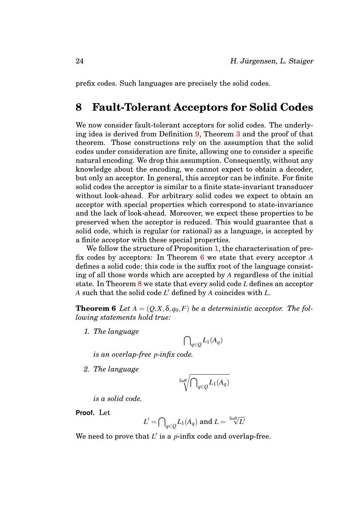prefix codes. Such languages are precisely the solid codes.

### <span id="page-24-0"></span>**8 Fault-Tolerant Acceptors for Solid Codes**

We now consider fault-tolerant acceptors for solid codes. The underlying idea is derived from Definition [9,](#page-18-0) Theorem [3](#page-18-1) and the proof of that theorem. Those constructions rely on the assumption that the solid codes under consideration are finite, allowing one to consider a specific natural encoding. We drop this assumption. Consequently, without any knowledge about the encoding, we cannot expect to obtain a decoder, but only an acceptor. In general, this acceptor can be infinite. For finite solid codes the acceptor is similar to a finite state-invariant transducer without look-ahead. For arbitrary solid codes we expect to obtain an acceptor with special properties which correspond to state-invariance and the lack of look-ahead. Moreover, we expect these properties to be preserved when the acceptor is reduced. This would guarantee that a solid code, which is regular (or rational) as a language, is accepted by a finite acceptor with these special properties.

We follow the structure of Proposition [1,](#page-13-2) the characterisation of prefix codes by acceptors: In Theorem [6](#page-24-1) we state that every acceptor *A* defines a solid code: this code is the suffix root of the language consisting of all those words which are accepted by *A* regardless of the initial state. In Theorem [8](#page-32-0) we state that every solid code *L* defines an acceptor *A* such that the solid code *L* <sup>0</sup> defined by *A* coincides with *L*.

**Theorem 6** *Let*  $A = (Q, X, \delta, q_0, F)$  *be a deterministic acceptor. The following statements hold true:*

*1. The language*

<span id="page-24-1"></span>
$$
{\bigcap}_{q\in {\mathcal Q}} L_1(A_q)
$$

*is an overlap-free p-infix code.*

*2. The language*

$$
\sqrt{\epsilon_{\rm diff} \sqrt{\epsilon_{\rm q} L_1(A_q)}}
$$

*is a solid code.*

**Proof.** Let

$$
L' = \bigcap_{q \in Q} L_1(A_q) \text{ and } L = \sqrt[\text{Suff}]{L'}
$$

We need to prove that  $L'$  is a  $p$ -infix code and overlap-free.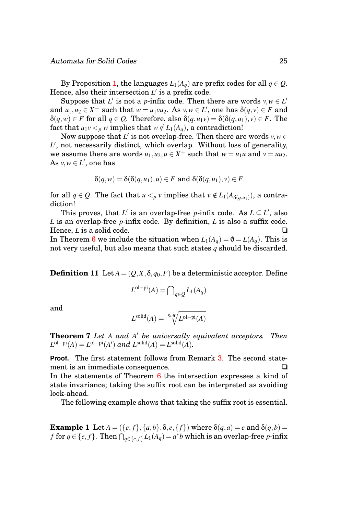By Proposition [1,](#page-13-2) the languages  $L_1(A_q)$  are prefix codes for all  $q \in Q$ . Hence, also their intersection L' is a prefix code.

Suppose that *L'* is not a *p*-infix code. Then there are words  $v, w \in L'$ and  $u_1, u_2 \in X^+$  such that  $w = u_1 v u_2$ . As  $v, w \in L'$ , one has  $\delta(q, v) \in F$  and  $\delta(q, w) \in F$  for all  $q \in Q$ . Therefore, also  $\delta(q, u_1v) = \delta(\delta(q, u_1), v) \in F$ . The fact that  $u_1v <_p w$  implies that  $w \notin L_1(A_q)$ , a contradiction!

Now suppose that  $L'$  is not overlap-free. Then there are words  $v,w \in$ L', not necessarily distinct, which overlap. Without loss of generality, we assume there are words  $u_1, u_2, u \in X^+$  such that  $w = u_1u$  and  $v = uu_2$ . As  $v, w \in L'$ , one has

$$
\delta(q, w) = \delta(\delta(q, u_1), u) \in F \text{ and } \delta(\delta(q, u_1), v) \in F
$$

 $\text{for all } q \in \mathcal{Q}. \text{ The fact that } u <_p v \text{ implies that } v \notin L_1(A_{\delta(q,u_1)}), \text{ a contra-}$ diction!

This proves, that *L'* is an overlap-free *p*-infix code. As  $L \subseteq L'$ , also *L* is an overlap-free *p*-infix code. By definition, *L* is also a suffix code. Hence, *L* is a solid code.

In Theorem [6](#page-24-1) we include the situation when  $L_1(A_q) = \emptyset = L(A_q)$ . This is not very useful, but also means that such states *q* should be discarded.

**Definition 11** Let  $A = (Q, X, \delta, q_0, F)$  be a deterministic acceptor. Define

$$
L^{ol-pi}(A) = \bigcap_{q \in Q} L_1(A_q)
$$

and

$$
L^{\rm solid}(A) = \sqrt[{\rm{Suff}}]{L^{\rm{ol-pi}}(A)}
$$

**Theorem 7** *Let A and A* <sup>0</sup> *be universally equivalent acceptors. Then*  $L^{\text{ol-pi}}(A) = L^{\text{ol-pi}}(A')$  and  $L^{\text{solid}}(A) = L^{\text{solid}}(A)$ .

**Proof.** The first statement follows from Remark [3.](#page-13-3) The second statement is an immediate consequence.

In the statements of Theorem [6](#page-24-1) the intersection expresses a kind of state invariance; taking the suffix root can be interpreted as avoiding look-ahead.

The following example shows that taking the suffix root is essential.

**Example 1** Let  $A = (\{e, f\}, \{a, b\}, \delta, e, \{f\})$  where  $\delta(q, a) = e$  and  $\delta(q, b) =$ *f* for  $q \in \{e, f\}$ . Then  $\bigcap_{q \in \{e, f\}} L_1(A_q) = a^*b$  which is an overlap-free *p*-infix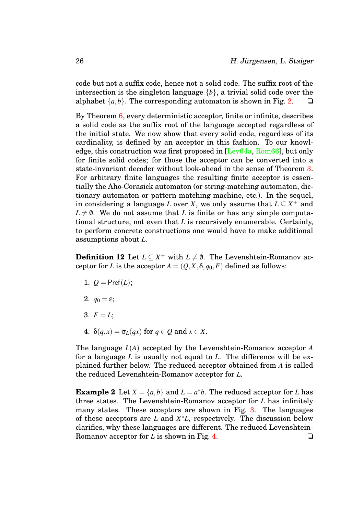code but not a suffix code, hence not a solid code. The suffix root of the intersection is the singleton language {*b*}, a trivial solid code over the alphabet  $\{a,b\}$ . The corresponding automaton is shown in Fig. [2.](#page-12-0)  $\Box$ 

By Theorem [6,](#page-24-1) every deterministic acceptor, finite or infinite, describes a solid code as the suffix root of the language accepted regardless of the initial state. We now show that every solid code, regardless of its cardinality, is defined by an acceptor in this fashion. To our knowledge, this construction was first proposed in [\[Lev64a,](#page-44-0) [Rom66\]](#page-45-1), but only for finite solid codes; for those the acceptor can be converted into a state-invariant decoder without look-ahead in the sense of Theorem [3.](#page-18-1) For arbitrary finite languages the resulting finite acceptor is essentially the Aho-Corasick automaton (or string-matching automaton, dictionary automaton or pattern matching machine, etc.). In the sequel, in considering a language *L* over *X*, we only assume that  $L \subseteq X^+$  and  $L \neq 0$ . We do not assume that *L* is finite or has any simple computational structure; not even that *L* is recursively enumerable. Certainly, to perform concrete constructions one would have to make additional assumptions about *L*.

<span id="page-26-1"></span>**Definition 12** Let  $L \subseteq X^+$  with  $L \neq \emptyset$ . The Levenshtein-Romanov acceptor for *L* is the acceptor  $A = (Q, X, \delta, q_0, F)$  defined as follows:

- 1.  $Q = \text{Pref}(L)$ ;
- 2.  $q_0 = \varepsilon$ ;
- 3.  $F = L$ ;
- <span id="page-26-0"></span>4.  $\delta(q, x) = \sigma_L(qx)$  for  $q \in Q$  and  $x \in X$ .

The language *L*(*A*) accepted by the Levenshtein-Romanov acceptor *A* for a language *L* is usually not equal to *L*. The difference will be explained further below. The reduced acceptor obtained from *A* is called the reduced Levenshtein-Romanov acceptor for *L*.

**Example 2** Let  $X = \{a,b\}$  and  $L = a^*b$ . The reduced acceptor for *L* has three states. The Levenshtein-Romanov acceptor for *L* has infinitely many states. These acceptors are shown in Fig. [3.](#page-27-0) The languages of these acceptors are *L* and *X* <sup>∗</sup>*L*, respectively. The discussion below clarifies, why these languages are different. The reduced Levenshtein-Romanov acceptor for *L* is shown in Fig. [4.](#page-28-0) ◯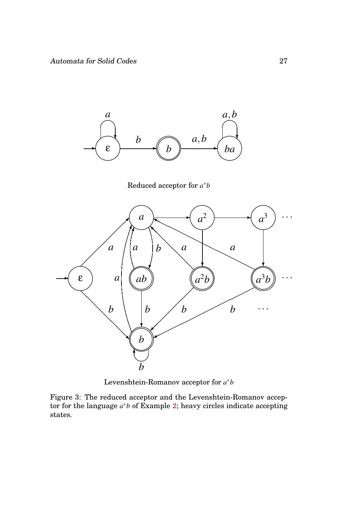

Reduced acceptor for *a* ∗*b*



<span id="page-27-0"></span>Levenshtein-Romanov acceptor for  $a^*b$ 

Figure 3: The reduced acceptor and the Levenshtein-Romanov acceptor for the language *a* <sup>∗</sup>*b* of Example [2;](#page-26-0) heavy circles indicate accepting states.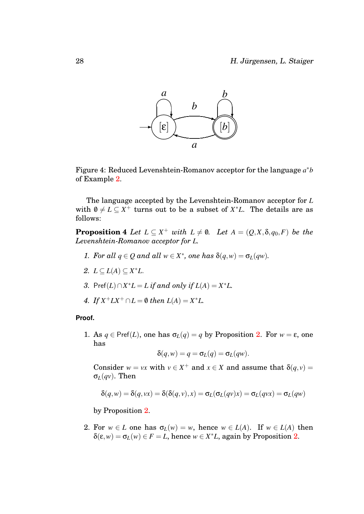

<span id="page-28-0"></span>Figure 4: Reduced Levenshtein-Romanov acceptor for the language *a* ∗*b* of Example [2.](#page-26-0)

The language accepted by the Levenshtein-Romanov acceptor for *L* with  $0 \neq L \subseteq X^+$  turns out to be a subset of  $X^*L$ . The details are as follows:

<span id="page-28-1"></span>**Proposition 4** *Let*  $L \subseteq X^+$  *with*  $L \neq \emptyset$ *. Let*  $A = (Q, X, \delta, q_0, F)$  *be the Levenshtein-Romanov acceptor for L.*

- *1. For all*  $q \in Q$  *and all*  $w \in X^*$ , *one has*  $\delta(q, w) = \sigma_L(qw)$ *.*
- *2.*  $L ⊆ L(A) ⊆ X^*L$ .
- *3.* Pref(*L*) ∩  $X^*L = L$  *if and only if*  $L(A) = X^*L$ .
- *4. If*  $X^+LX^+ \cap L = \emptyset$  *then*  $L(A) = X^*L$ .

#### **Proof.**

1. As  $q \in \text{Pref}(L)$ , one has  $\sigma_L(q) = q$  by Proposition [2.](#page-19-1) For  $w = \varepsilon$ , one has

$$
\delta(q, w) = q = \sigma_L(q) = \sigma_L(qw).
$$

Consider  $w = vx$  with  $v \in X^+$  and  $x \in X$  and assume that  $\delta(q, v) =$ σ*L*(*qv*). Then

$$
\delta(q, w) = \delta(q, vx) = \delta(\delta(q, v), x) = \sigma_L(\sigma_L(qv)x) = \sigma_L(qvx) = \sigma_L(qw)
$$

by Proposition [2.](#page-19-1)

2. For  $w \in L$  one has  $\sigma_L(w) = w$ , hence  $w \in L(A)$ . If  $w \in L(A)$  then  $\delta(\varepsilon, w) = \sigma_L(w) \in F = L$ , hence  $w \in X^*L$ , again by Proposition [2.](#page-19-1)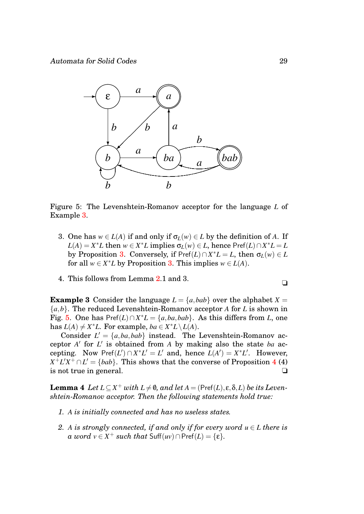

<span id="page-29-1"></span>Figure 5: The Levenshtein-Romanov acceptor for the language *L* of Example [3.](#page-29-0)

- 3. One has  $w \in L(A)$  if and only if  $\sigma_L(w) \in L$  by the definition of A. If  $L(A) = X^*L$  then  $w \in X^*L$  implies  $\sigma_L(w) \in L$ , hence Pref $(L) \cap X^*L = L$ by Proposition [3.](#page-20-1) Conversely, if  $\text{Pref}(L) \cap X^*L = L$ , then  $\sigma_L(w) \in L$ for all  $w \in X^*L$  by Proposition [3.](#page-20-1) This implies  $w \in L(A)$ .
- 4. This follows from Lemma [2.](#page-21-1)1 and 3.

<span id="page-29-0"></span>**Example 3** Consider the language  $L = \{a, bab\}$  over the alphabet  $X =$ {*a*,*b*}. The reduced Levenshtein-Romanov acceptor *A* for *L* is shown in Fig. [5.](#page-29-1) One has  $\text{Pref}(L) \cap X^*L = \{a, ba, bab\}$ . As this differs from *L*, one has  $L(A) \neq X^*L$ . For example,  $ba \in X^*L \setminus L(A)$ .

Consider  $L' = \{a, ba, bab\}$  instead. The Levenshtein-Romanov acceptor  $A'$  for  $L'$  is obtained from  $A$  by making also the state  $ba$  accepting. Now  $\text{Pref}(L') \cap X^*L' = L'$  and, hence  $L(A') = X^*L'$ . However,  $X^+L'X^+\cap L' = \{bab\}$ . This shows that the converse of Proposition [4](#page-28-1) (4) is not true in general. ❏

**Lemma 4** *Let*  $L \subseteq X^+$  *with*  $L \neq \emptyset$ *, and let*  $A = (\text{Pref}(L), \varepsilon, \delta, L)$  *be its Levenshtein-Romanov acceptor. Then the following statements hold true:*

- *1. A is initially connected and has no useless states.*
- *2. A is strongly connected, if and only if for every word*  $u \in L$  *there is a word*  $v \in X^+$  *such that* Suff $(uv) \cap \text{Pref}(L) = \{\epsilon\}.$

$$
\blacksquare
$$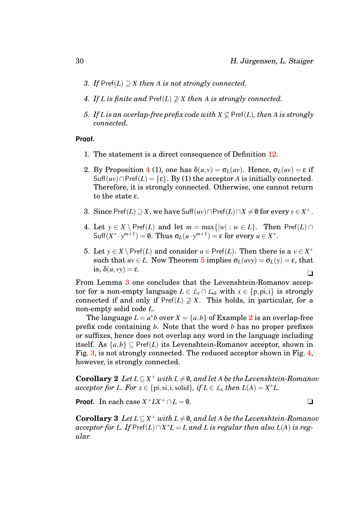- *3. If* Pref(*L*) ⊃ *X then A is not strongly connected.*
- *4. If L* is finite and  $\text{Pref}(L) \not\supseteq X$  then *A* is strongly connected.
- *5. If L* is an overlap-free prefix code with  $X \nsubseteq \text{Pref}(L)$ , then A is strongly *connected.*

#### **Proof.**

- 1. The statement is a direct consequence of Definition [12.](#page-26-1)
- 2. By Proposition [4](#page-28-1) (1), one has  $\delta(u, v) = \sigma_L(uv)$ . Hence,  $\sigma_L(uv) = \varepsilon$  if  $\text{Suff}(uv) \cap \text{Pref}(L) = \{\varepsilon\}.$  By (1) the acceptor *A* is initially connected. Therefore, it is strongly connected. Otherwise, one cannot return to the state ε.
- 3. Since Pref $(L) \supseteq X$ , we have Suff $(uv) \cap$ Pref $(L) \cap X \neq \emptyset$  for every  $v \in X^+$ .
- 4. Let  $y \in X \setminus \text{Pref}(L)$  and let  $m = \max\{|w| : w \in L\}$ . Then  $\text{Pref}(L) \cap$  $\text{Suff}(X^* \cdot y^{m+1}) = \emptyset$ . Thus  $\sigma_L(u \cdot y^{m+1}) = \varepsilon$  for every  $u \in X^*$ .
- 5. Let  $y \in X \setminus \text{Pref}(L)$  and consider  $u \in \text{Pref}(L)$ . Then there is a  $v \in X^*$ such that  $uv \in L$ . Now Theorem [5](#page-23-1) implies  $\sigma_L(uvy) = \sigma_L(y) = \varepsilon$ , that is,  $\delta(u, vy) = \varepsilon$ . ❏

From Lemma [3](#page-29-0) one concludes that the Levenshtein-Romanov acceptor for a non-empty language  $L \in L_x \cap L_{ol}$  with  $x \in \{p,pi,i\}$  is strongly connected if and only if  $\text{Pref}(L) \not\supseteq X$ . This holds, in particular, for a non-empty solid code *L*.

The language  $L = a^*b$  over  $X = \{a, b\}$  of Example [2](#page-26-0) is an overlap-free prefix code containing *b*. Note that the word *b* has no proper prefixes or suffixes, hence does not overlap any word in the language including itself. As  $\{a,b\} \subset \text{Pref}(L)$  its Levenshtein-Romanov acceptor, shown in Fig. [3,](#page-27-0) is not strongly connected. The reduced acceptor shown in Fig. [4,](#page-28-0) however, is strongly connected.

<span id="page-30-0"></span>**Corollary 2** *Let*  $L \subseteq X^+$  *with*  $L \neq \emptyset$ *, and let A be the Levenshtein-Romanov acceptor for L. For*  $x \in \{pi, \text{si}, \text{i}, \text{solid}\}$ *, if*  $L \in \mathcal{L}_x$  *then*  $L(A) = X^*L$ .

<span id="page-30-1"></span>**Proof.** In each case  $X^+ L X^+ \cap L = \emptyset$ .

**Corollary 3** Let  $L \subseteq X^+$  with  $L \neq \emptyset$ , and let *A* be the Levenshtein-Romanov  $\alpha$ *cceptor for L. If* Pref $(L) \cap X^*L = L$  *and L is regular then also L*(*A*) *is regular.*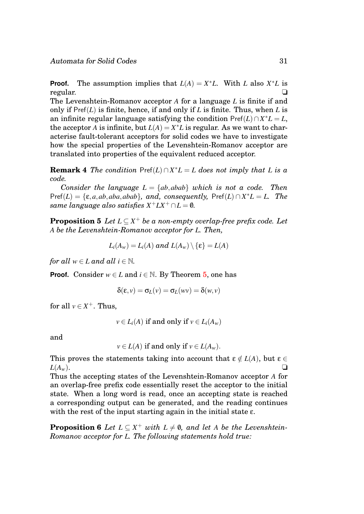**Proof.** The assumption implies that  $L(A) = X^*L$ . With *L* also  $X^*L$  is regular. ❏

The Levenshtein-Romanov acceptor *A* for a language *L* is finite if and only if  $\text{Pref}(L)$  is finite, hence, if and only if  $L$  is finite. Thus, when  $L$  is an infinite regular language satisfying the condition  $\text{Pref}(L) \cap X^*L = L$ , the acceptor *A* is infinite, but  $L(A) = X^*L$  is regular. As we want to characterise fault-tolerant acceptors for solid codes we have to investigate how the special properties of the Levenshtein-Romanov acceptor are translated into properties of the equivalent reduced acceptor.

**Remark 4** *The condition*  $\text{Pref}(L) \cap X^*L = L$  *does not imply that L is a code.*

*Consider the language*  $L = \{ab, abab\}$  *which is not a code. Then*  $\text{Pref}(L) = \{\varepsilon, a, ab, aba, abab\}, \text{ and, consequently, } \text{Pref}(L) \cap X^*L = L.$  The  $same\ language\ also\ satisfies\ X^{+}LX^{+}\cap L=\emptyset.$ 

<span id="page-31-0"></span>**Proposition 5** *Let*  $L \subseteq X^+$  *be a non-empty overlap-free prefix code. Let A be the Levenshtein-Romanov acceptor for L. Then,*

$$
L_i(A_w) = L_i(A) \text{ and } L(A_w) \setminus \{\epsilon\} = L(A)
$$

*for all*  $w \in L$  *and all*  $i \in \mathbb{N}$ *.* 

**Proof.** Consider  $w \in L$  and  $i \in \mathbb{N}$ . By Theorem [5,](#page-23-1) one has

$$
\delta(\epsilon,\nu)=\sigma_L(\nu)=\sigma_L(\nu\nu)=\delta(\nu,\nu)
$$

for all  $v \in X^+$ . Thus,

 $v \in L_i(A)$  if and only if  $v \in L_i(A_w)$ 

and

<span id="page-31-1"></span>
$$
v \in L(A)
$$
 if and only if  $v \in L(A_w)$ .

This proves the statements taking into account that  $\varepsilon \notin L(A)$ , but  $\varepsilon \in$  $L(A_w)$ .  $\square$ 

Thus the accepting states of the Levenshtein-Romanov acceptor *A* for an overlap-free prefix code essentially reset the acceptor to the initial state. When a long word is read, once an accepting state is reached a corresponding output can be generated, and the reading continues with the rest of the input starting again in the initial state  $\varepsilon$ .

**Proposition 6** *Let*  $L \subseteq X^+$  *with*  $L \neq \emptyset$ *, and let A be the Levenshtein-Romanov acceptor for L. The following statements hold true:*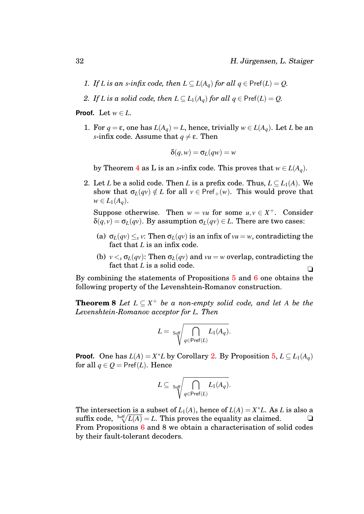- *1. If L* is an *s*-infix code, then  $L \subseteq L(A_q)$  for all  $q \in \text{Pref}(L) = Q$ .
- *2. If L is a solid code, then*  $L \subset L_1(A_q)$  *for all*  $q \in \text{Pref}(L) = Q$ *.*

**Proof.** Let  $w \in L$ .

1. For  $q = \varepsilon$ , one has  $L(A_q) = L$ , hence, trivially  $w \in L(A_q)$ . Let *L* be an *s*-infix code. Assume that  $q \neq \varepsilon$ . Then

$$
\delta(q, w) = \sigma_L(qw) = w
$$

by Theorem [4](#page-23-0) as L is an *s*-infix code. This proves that  $w \in L(A_q)$ .

2. Let *L* be a solid code. Then *L* is a prefix code. Thus,  $L \subseteq L_1(A)$ . We show that  $\sigma_L(qv) \notin L$  for all  $v \in \text{Pref}_+(w)$ . This would prove that *w* ∈  $L_1(A_a)$ .

Suppose otherwise. Then  $w = vu$  for some  $u, v \in X^+$ . Consider  $\delta(q, v) = \sigma_L(qv)$ . By assumption  $\sigma_L(qv) \in L$ . There are two cases:

- (a)  $\sigma_L(qv) \leq_s v$ : Then  $\sigma_L(qv)$  is an infix of  $vu = w$ , contradicting the fact that *L* is an infix code.
- (b)  $v < s \sigma_L(qv)$ : Then  $\sigma_L(qv)$  and  $vu = w$  overlap, contradicting the fact that *L* is a solid code.

By combining the statements of Propositions [5](#page-31-0) and [6](#page-31-1) one obtains the following property of the Levenshtein-Romanov construction.

**Theorem 8** *Let*  $L \subseteq X^+$  *be a non-empty solid code, and let A be the Levenshtein-Romanov acceptor for L. Then*

<span id="page-32-0"></span>
$$
L = \sqrt{\int\limits_{q \in \text{Pref}(L)} L_1(A_q)}.
$$

**Proof.** One has  $L(A) = X^*L$  by Corollary [2.](#page-30-0) By Proposition [5,](#page-31-0)  $L \subseteq L_1(A_q)$ for all  $q \in Q = \text{Pref}(L)$ . Hence

$$
L\subseteq\;\text{Suff}\overline{\bigcap_{q\in\mathsf{Pref}(L)}L_1(A_q)}.
$$

The intersection is a subset of  $L_1(A)$ , hence of  $L(A) = X^*L$ . As *L* is also a suffix code,  $\sqrt[5]{L(A)} = L$ . This proves the equality as claimed.  $\square$ From Propositions [6](#page-31-1) and 8 we obtain a characterisation of solid codes by their fault-tolerant decoders.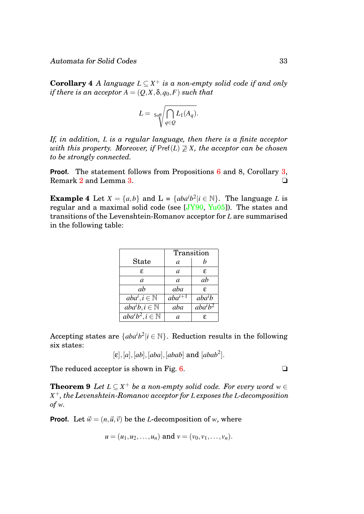**Corollary 4** *A language*  $L \subseteq X^+$  *is a non-empty solid code if and only if there is an acceptor*  $A = (Q, X, \delta, q_0, F)$  *such that* 

$$
L = \sqrt{\int_{q \in Q} L_1(A_q)}.
$$

*If, in addition, L is a regular language, then there is a finite acceptor with this property. Moreover, if*  $\text{Pref}(L) \not\supseteq X$ *, the acceptor can be chosen to be strongly connected.*

**Proof.** The statement follows from Propositions [6](#page-31-1) and 8, Corollary [3,](#page-30-1) Remark [2](#page-12-1) and Lemma [3.](#page-29-0) ◯

<span id="page-33-0"></span>**Example 4** Let  $X = \{a,b\}$  and  $L = \{aba^i b^2 | i \in \mathbb{N}\}\$ . The language *L* is regular and a maximal solid code (see  $[JY90, Yu05]$  $[JY90, Yu05]$  $[JY90, Yu05]$ ). The states and transitions of the Levenshtein-Romanov acceptor for *L* are summarised in the following table:

|                                        | Transition             |                                  |
|----------------------------------------|------------------------|----------------------------------|
| <b>State</b>                           | a                      | h                                |
| £.                                     | a                      | £.                               |
| a                                      | a                      | ab                               |
| ab                                     | aba                    | £.                               |
| $aba^i, i \in \mathbb{N}$              | $aba^{\overline{i+1}}$ | $aba^i$                          |
| $\overline{aba}^i b, i \in \mathbb{N}$ | aba                    | $ab\overline{a^i}\overline{b^2}$ |
| $aba^ib^2, i \in \mathbb{N}$           | a                      | ε.                               |

Accepting states are  ${[aba^i b^2 | i \in \mathbb{N}]}$ . Reduction results in the following six states:

$$
[\varepsilon], [a], [ab], [aba], [abab] \text{ and } [abab^2].
$$

The reduced acceptor is shown in Fig. [6.](#page-34-0)  $\Box$ 

**Theorem 9** *Let*  $L \subseteq X^+$  *be a non-empty solid code. For every word*  $w \in$ *X* <sup>+</sup>*, the Levenshtein-Romanov acceptor for L exposes the L-decomposition of w.*

**Proof.** Let  $\vec{w} = (n, \vec{u}, \vec{v})$  be the *L*-decomposition of *w*, where

$$
u = (u_1, u_2, \dots, u_n)
$$
 and  $v = (v_0, v_1, \dots, v_n)$ .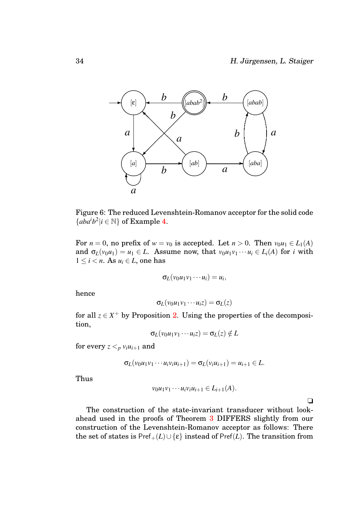

<span id="page-34-0"></span>Figure 6: The reduced Levenshtein-Romanov acceptor for the solid code  ${abab^2|i \in \mathbb{N}}$  of Example [4.](#page-33-0)

For  $n = 0$ , no prefix of  $w = v_0$  is accepted. Let  $n > 0$ . Then  $v_0u_1 \in L_1(A)$ and  $\sigma_L(v_0u_1) = u_1 \in L$ . Assume now, that  $v_0u_1v_1 \cdots u_i \in L_i(A)$  for *i* with  $1 \leq i < n$ . As  $u_i \in L$ , one has

$$
\sigma_L(v_0u_1v_1\cdots u_i)=u_i,
$$

hence

$$
\sigma_L(v_0u_1v_1\cdots u_iz)=\sigma_L(z)
$$

for all  $z \in X^+$  by Proposition [2.](#page-19-1) Using the properties of the decomposition,

$$
\sigma_L(v_0u_1v_1\cdots u_iz)=\sigma_L(z)\notin L
$$

for every  $z <_p v_i u_{i+1}$  and

$$
\sigma_L(v_0u_1v_1\cdots u_iv_iu_{i+1})=\sigma_L(v_iu_{i+1})=u_{i+1}\in L.
$$

Thus

$$
v_0u_1v_1\cdots u_iv_iu_{i+1}\in L_{i+1}(A).
$$

 $\Box$ 

The construction of the state-invariant transducer without lookahead used in the proofs of Theorem [3](#page-18-1) DIFFERS slightly from our construction of the Levenshtein-Romanov acceptor as follows: There the set of states is  $\text{Pref}_{+}(L) \cup \{\varepsilon\}$  instead of  $\text{Pref}(L)$ . The transition from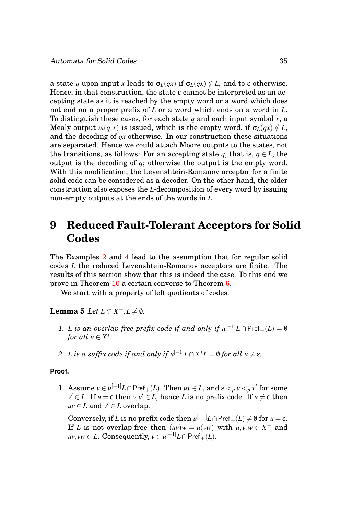a state *q* upon input *x* leads to  $\sigma$ <sub>*L*</sub>(*qx*) if  $\sigma$ <sup>*L*</sup>(*qx*)  $\notin$  *L*, and to  $\varepsilon$  otherwise. Hence, in that construction, the state  $\varepsilon$  cannot be interpreted as an accepting state as it is reached by the empty word or a word which does not end on a proper prefix of *L* or a word which ends on a word in *L*. To distinguish these cases, for each state *q* and each input symbol *x*, a Mealy output  $m(q, x)$  is issued, which is the empty word, if  $\sigma_L(qx) \notin L$ , and the decoding of *qx* otherwise. In our construction these situations are separated. Hence we could attach Moore outputs to the states, not the transitions, as follows: For an accepting state *q*, that is,  $q \in L$ , the output is the decoding of *q*; otherwise the output is the empty word. With this modification, the Levenshtein-Romanov acceptor for a finite solid code can be considered as a decoder. On the other hand, the older construction also exposes the *L*-decomposition of every word by issuing non-empty outputs at the ends of the words in *L*.

# <span id="page-35-0"></span>**9 Reduced Fault-Tolerant Acceptors for Solid Codes**

The Examples [2](#page-26-0) and [4](#page-33-0) lead to the assumption that for regular solid codes *L* the reduced Levenshtein-Romanov acceptors are finite. The results of this section show that this is indeed the case. To this end we prove in Theorem [10](#page-36-0) a certain converse to Theorem [6.](#page-24-1)

<span id="page-35-1"></span>We start with a property of left quotients of codes.

**Lemma 5** *Let*  $L \subset X^+, L \neq \emptyset$ *.* 

- <span id="page-35-2"></span>*1. L* is an overlap-free prefix code if and only if  $u^{[-1]}L \cap \text{Pref}_+(L) = \emptyset$ *for all*  $u \in X^*$ .
- *2. L* is a suffix code if and only if  $u^{[-1]}L \cap X^*L = \emptyset$  for all  $u \neq \varepsilon$ .

#### **Proof.**

1. Assume  $v \in u^{[-1]}L \cap \text{Pref}_+(L)$ . Then  $uv \in L$ , and  $\varepsilon <_p v <_p v'$  for some  $v' \in L$ . If  $u = \varepsilon$  then  $v, v' \in L,$  hence  $L$  is no prefix code. If  $u \neq \varepsilon$  then  $uv \in L$  and  $v' \in L$  overlap.

 $\text{Conversely, if } L \text{ is no prefix code then } u^{[-1]}L \cap \mathsf{Pref}_+(L) \neq \emptyset \text{ for } u = \varepsilon.$ If *L* is not overlap-free then  $(uv)w = u(vw)$  with  $u, v, w \in X^+$  and  $uv, vw \in L$ . Consequently,  $v \in u^{[-1]}L \cap \mathsf{Pref}_+(L)$ .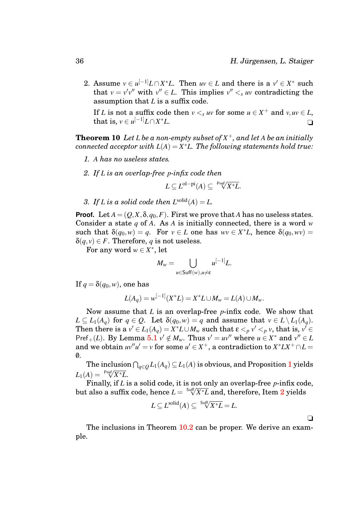2. Assume  $v \in u^{[-1]}L \cap X^*L$ . Then  $uv \in L$  and there is a  $v' \in X^*$  such that  $v = v'v''$  with  $v'' \in L$ . This implies  $v'' <sub>s</sub> uv$  contradicting the assumption that *L* is a suffix code.

If *L* is not a suffix code then  $v <_{s} uv$  for some  $u \in X^{+}$  and  $v, uv \in L$ , that is,  $v \in u^{[-1]}L \cap X$ <sup>∗</sup>*L*. ❏

<span id="page-36-0"></span>**Theorem 10** *Let L be a non-empty subset of X* <sup>+</sup>*, and let A be an initially connected acceptor with L*(*A*) = *X* <sup>∗</sup>*L. The following statements hold true:*

- *1. A has no useless states.*
- <span id="page-36-1"></span>*2. If L is an overlap-free p-infix code then*

$$
L \subseteq L^{\text{ol}-\text{pi}}(A) \subseteq \sqrt[\text{Pref}/X^*L}.
$$

*3. If L* is a solid code then  $L^{\text{solid}}(A) = L$ .

**Proof.** Let  $A = (Q, X, \delta, q_0, F)$ . First we prove that *A* has no useless states. Consider a state *q* of *A*. As *A* is initially connected, there is a word *w* such that  $\delta(q_0, w) = q$ . For  $v \in L$  one has  $wv \in X^*L$ , hence  $\delta(q_0, wv) =$  $\delta(q, v) \in F$ . Therefore, *q* is not useless.

For any word  $w \in X^*$ , let

$$
M_w = \bigcup_{u \in \text{Suff}(w), u \neq \varepsilon} u^{[-1]} L.
$$

If  $q = \delta(q_0, w)$ , one has

$$
L(A_q) = w^{[-1]}(X^*L) = X^*L \cup M_w = L(A) \cup M_w.
$$

Now assume that *L* is an overlap-free *p*-infix code. We show that  $L \subseteq L_1(A_q)$  for  $q \in Q$ . Let  $\delta(q_0, w) = q$  and assume that  $v \in L \setminus L_1(A_q)$ . Then there is a  $v' \in L_1(A_q) = X^*L \cup M_w$  such that  $\varepsilon <_p v' <_p v$ , that is,  $v' \in$ Pref<sub>+</sub>(*L*). By Lemma [5](#page-35-1)[.1](#page-35-2)  $v' \notin M_w$ . Thus  $v' = uv''$  where  $u \in X^*$  and  $v'' \in L$ and we obtain  $uv''u' = v$  for some  $u' \in X^+$ , a contradiction to  $X^*LX^+ \cap L =$  $\emptyset$ .

The inclusion  $\bigcap_{q \in \mathcal{Q}} L_1(A_q) \subseteq L_1(A)$  $\bigcap_{q \in \mathcal{Q}} L_1(A_q) \subseteq L_1(A)$  $\bigcap_{q \in \mathcal{Q}} L_1(A_q) \subseteq L_1(A)$  is obvious, and Proposition 1 yields  $L_1(A) = \sqrt{\frac{\text{Pref}}{X^*L}}.$ 

Finally, if *L* is a solid code, it is not only an overlap-free *p*-infix code, but also a suffix code, hence *L* = Suff√ *X*∗*L* and, therefore, Item [2](#page-36-1) yields

$$
L \subseteq L^{\text{solid}}(A) \subseteq \sqrt[\text{Suff}]{X^*L} = L.
$$

 $\Box$ 

The inclusions in Theorem [10.](#page-36-0)[2](#page-36-1) can be proper. We derive an example.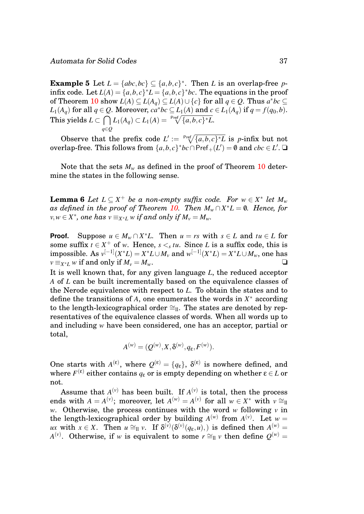**Example 5** Let  $L = \{abc, bc\} \subseteq \{a, b, c\}^*$ . Then *L* is an overlap-free *p*infix code. Let  $L(A) = \{a, b, c\}^* L = \{a, b, c\}^* bc$ . The equations in the proof of Theorem [10](#page-36-0) show  $L(A) \subseteq L(A_q) \subseteq L(A) \cup \{c\}$  for all  $q \in Q$ . Thus  $a^*bc \subseteq$ *L*<sub>1</sub>(*A*<sub>*q*</sub>) for all *q* ∈ *Q*. Moreover, *ca*<sup>∗</sup>*bc* ⊆ *L*<sub>1</sub>(*A*) and *c* ∈ *L*<sub>1</sub>(*A*<sub>*q*</sub>) if *q* = *f*(*q*<sub>0</sub>,*b*).  $\text{This yields } L \subset \bigcap L_1(A_q) \subset L_1(A) = \sqrt{\text{Pref} \left( \{a,b,c\}^* L \right)}.$ *q*∈*Q*

Observe that the prefix code  $L' := \sqrt{\{a,b,c\}^*L}$  is *p*-infix but not overlap-free. This follows from  $\{a,b,c\}^*b c \cap \mathsf{Pref}_+(L') = \emptyset$  and  $cbc \in L'.$   $\Box$ 

Note that the sets  $M_w$  as defined in the proof of Theorem [10](#page-36-0) determine the states in the following sense.

**Lemma 6** *Let*  $L \subseteq X^+$  *be a non-empty suffix code. For*  $w \in X^*$  *let*  $M_w$ *as defined in the proof of Theorem [10.](#page-36-0) Then*  $M_w \cap X^*L = \emptyset$ . Hence, for  $v, w \in X^*$ , one has  $v \equiv_{X^*L} w$  *if and only if*  $M_v = M_w$ .

**Proof.** Suppose  $u \in M_w \cap X^*L$ . Then  $u = rs$  with  $s \in L$  and  $tu \in L$  for some suffix  $t \in X^+$  of *w*. Hence,  $s \leq_s t u$ . Since *L* is a suffix code, this is  $\dim \mathrm{possible.} \ \mathbf{As} \ v^{[-1]}(X^*L)=X^*L\cup M_v \ \text{and} \ w^{[-1]}(X^*L)=X^*L\cup M_w, \ \text{one has}$ *v* ≡*x*∗*L w* if and only if *M*<sup>*v*</sup> = *M<sub><i>w*</sub>. ◯

It is well known that, for any given language *L*, the reduced acceptor *A* of *L* can be built incrementally based on the equivalence classes of the Nerode equivalence with respect to *L*. To obtain the states and to define the transitions of *A*, one enumerates the words in *X* <sup>∗</sup> according to the length-lexicographical order  $\cong$ <sub>ll</sub>. The states are denoted by representatives of the equivalence classes of words. When all words up to and including *w* have been considered, one has an acceptor, partial or total,

$$
A^{(w)}=(Q^{(w)},X,\delta^{(w)},q_{\varepsilon},F^{(w)}).
$$

One starts with  $A^{(\varepsilon)}$ , where  $Q^{(\varepsilon)} = \{q_{\varepsilon}\}\,$ ,  $\delta^{(\varepsilon)}$  is nowhere defined, and  $\mathbf{w}$ here  $F^{(\mathbf{\varepsilon})}$  either contains  $q_{\mathbf{\varepsilon}}$  or is empty depending on whether  $\mathbf{\varepsilon} \in L$  or not.

Assume that  $A^{(v)}$  has been built. If  $A^{(v)}$  is total, then the process ends with  $A = A^{(v)}$ ; moreover, let  $A^{(w)} = A^{(v)}$  for all  $w \in X^*$  with  $v \approx_{\text{II}}$ *w*. Otherwise, the process continues with the word *w* following *v* in the length-lexicographical order by building  $A^{(w)}$  from  $A^{(v)}$ . Let  $w =$  $ux$  with  $x \in X$ . Then  $u \cong_{\Pi} v$ . If  $\delta^{(\nu)}(\delta^{(\nu)}(q_{\varepsilon}, u))$ , is defined then  $A^{(\nu)}$  = *A*<sup>(*v*)</sup>. Otherwise, if *w* is equivalent to some  $r \approx 1$  *v* then define  $Q^{(w)} =$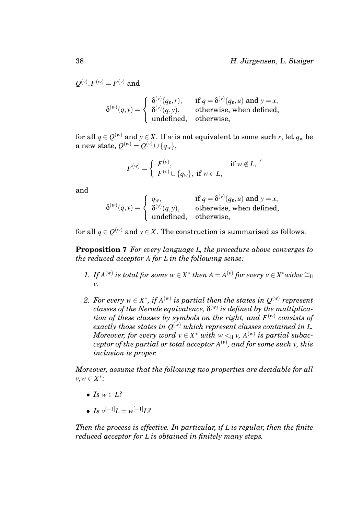$\mathcal{Q}^{(v)}, F^{(w)} = F^{(v)}$  and

$$
\delta^{(w)}(q, y) = \begin{cases} \delta^{(v)}(q_{\varepsilon}, r), & \text{if } q = \delta^{(v)}(q_{\varepsilon}, u) \text{ and } y = x, \\ \delta^{(v)}(q, y), & \text{otherwise, when defined,} \\ \text{undefined}, & \text{otherwise,} \end{cases}
$$

for all  $q \in Q^{(w)}$  and  $y \in X$ . If  $w$  is not equivalent to some such  $r$ , let  $q_w$  be  $\text{a new state, } \mathcal{Q}^{(w)} = \mathcal{Q}^{(v)} \cup \{q_w\},$ 

<span id="page-38-0"></span>
$$
F^{(w)} = \begin{cases} F^{(v)}, & \text{if } w \notin L, \\ F^{(v)} \cup \{q_w\}, & \text{if } w \in L, \end{cases}
$$

and

$$
\delta^{(w)}(q, y) = \begin{cases} q_w, & \text{if } q = \delta^{(v)}(q_{\varepsilon}, u) \text{ and } y = x, \\ \delta^{(v)}(q, y), & \text{otherwise, when defined,} \\ \text{undefined}, & \text{otherwise,} \end{cases}
$$

for all  $q \in Q^{(w)}$  and  $y \in X$ . The construction is summarised as follows:

**Proposition 7** *For every language L, the procedure above converges to the reduced acceptor A for L in the following sense:*

- *1. If*  $A^{(w)}$  *is total for some*  $w \in X^*$  *then*  $A = A^{(v)}$  *for every*  $v \in X^*$ *withw*  $\cong$ *v.*
- *2. For every w*  $\in$  *X* $^*$ *, if A*<sup>(*w*)</sup> *is partial then the states in*  $Q^{(w)}$  *represent*  $\emph{classes of the Nerode equivalence, }\delta^{\scriptscriptstyle(w)}\emph{ is defined by the multiplication}$ *tion of these classes by symbols on the right, and F* (*w*) *consists of* exactly those states in  $\mathcal{Q}^{(w)}$  which represent classes contained in L.  $M$ oreover, for every word  $v \in X^*$  with  $w <_{\Pi} v$ ,  $A^{(w)}$  is partial subac $c$ eptor of the partial or total acceptor  $A^{(v)}$ , and for some such  $v$ , this *inclusion is proper.*

*Moreover, assume that the following two properties are decidable for all v*,*w* ∈ *X* ∗ *:*

- *Is*  $w \in L^2$
- *Is*  $v^{[-1]}L = w^{[-1]}L^2$

*Then the process is effective. In particular, if L is regular, then the finite reduced acceptor for L is obtained in finitely many steps.*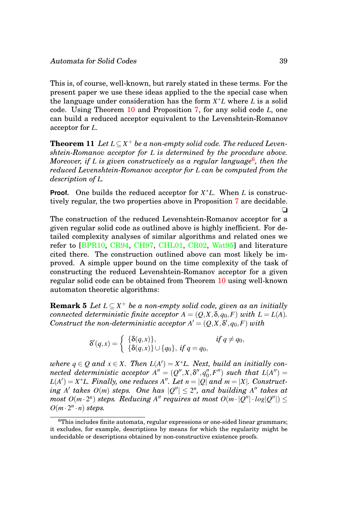This is, of course, well-known, but rarely stated in these terms. For the present paper we use these ideas applied to the the special case when the language under consideration has the form *X* <sup>∗</sup>*L* where *L* is a solid code. Using Theorem [10](#page-36-0) and Proposition [7,](#page-38-0) for any solid code *L*, one can build a reduced acceptor equivalent to the Levenshtein-Romanov acceptor for *L*.

**Theorem 11** *Let*  $L \subseteq X^+$  *be a non-empty solid code. The reduced Levenshtein-Romanov acceptor for L is determined by the procedure above. Moreover, if L is given constructively as a regular language*[6](#page-39-0) *, then the reduced Levenshtein-Romanov acceptor for L can be computed from the description of L.*

**Proof.** One builds the reduced acceptor for *X* <sup>∗</sup>*L*. When *L* is constructively regular, the two properties above in Proposition [7](#page-38-0) are decidable. ❏

The construction of the reduced Levenshtein-Romanov acceptor for a given regular solid code as outlined above is highly inefficient. For detailed complexity analyses of similar algorithms and related ones we refer to [\[BPR10,](#page-40-0) [CR94,](#page-41-8) [CH97,](#page-41-6) [CHL01,](#page-41-9) [CR02,](#page-41-10) [Wat95\]](#page-46-1) and literature cited there. The construction outlined above can most likely be improved. A simple upper bound on the time complexity of the task of constructing the reduced Levenshtein-Romanov acceptor for a given regular solid code can be obtained from Theorem [10](#page-36-0) using well-known automaton theoretic algorithms:

**Remark 5** *Let L* ⊆ *X* <sup>+</sup> *be a non-empty solid code, given as an initially connected deterministic finite acceptor*  $A = (Q, X, \delta, q_0, F)$  *with*  $L = L(A)$ *.*  $Construct\ the\ non-deterministic\ acceptor\ A' = (Q, X, \delta', q_0, F) \ with$ 

<span id="page-39-1"></span>
$$
\delta'(q, x) = \begin{cases} \{\delta(q, x)\}, & \text{if } q \neq q_0, \\ \{\delta(q, x)\} \cup \{q_0\}, & \text{if } q = q_0, \end{cases}
$$

 $where\ q \in Q \ and\ x \in X$ . Then  $L(A') = X^*L$ . Next, build an initially con- $\emph{needed deterministic acceptor}$   $A'' = (Q'', X, \delta'', q''_0)$  $L''(A'')$  such that  $L(A'') =$  $L(A') = X^*L$ *. Finally, one reduces*  $A''$ *. Let n* =  $|Q|$  *and m* = |X|*. Construct*- $\int$  *takes*  $O(m)$  *steps.* One has  $|Q''| \leq 2^n$ , and building A'' takes at  $m$ ost  $O(m \cdot 2^n)$  steps. Reducing A" requires at most  $O(m \cdot |Q''| \cdot log|Q''|) \le$  $O(m \cdot 2^n \cdot n)$  *steps.* 

<span id="page-39-0"></span><sup>6</sup>This includes finite automata, regular expressions or one-sided linear grammars; it excludes, for example, descriptions by means for which the regularity might be undecidable or descriptions obtained by non-constructive existence proofs.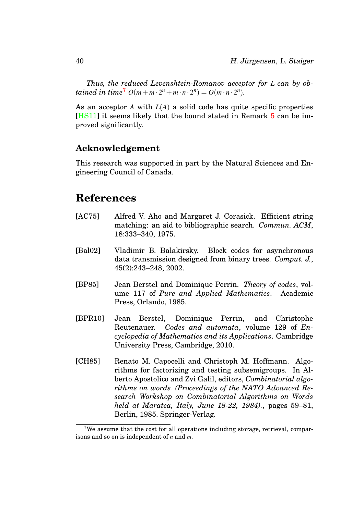*Thus, the reduced Levenshtein-Romanov acceptor for L can by obtained in time*<sup>[7](#page-40-5)</sup>  $O(m + m \cdot 2^n + m \cdot n \cdot 2^n) = O(m \cdot n \cdot 2^n)$ .

As an acceptor *A* with *L*(*A*) a solid code has quite specific properties [\[HS11\]](#page-42-2) it seems likely that the bound stated in Remark [5](#page-39-1) can be improved significantly.

### **Acknowledgement**

This research was supported in part by the Natural Sciences and Engineering Council of Canada.

# **References**

- <span id="page-40-3"></span>[AC75] Alfred V. Aho and Margaret J. Corasick. Efficient string matching: an aid to bibliographic search. *Commun. ACM*, 18:333–340, 1975.
- <span id="page-40-2"></span>[Bal02] Vladimir B. Balakirsky. Block codes for asynchronous data transmission designed from binary trees. *Comput. J.*, 45(2):243–248, 2002.
- <span id="page-40-1"></span>[BP85] Jean Berstel and Dominique Perrin. *Theory of codes*, volume 117 of *Pure and Applied Mathematics*. Academic Press, Orlando, 1985.
- <span id="page-40-0"></span>[BPR10] Jean Berstel, Dominique Perrin, and Christophe Reutenauer. *Codes and automata*, volume 129 of *Encyclopedia of Mathematics and its Applications*. Cambridge University Press, Cambridge, 2010.
- <span id="page-40-4"></span>[CH85] Renato M. Capocelli and Christoph M. Hoffmann. Algorithms for factorizing and testing subsemigroups. In Alberto Apostolico and Zvi Galil, editors, *Combinatorial algorithms on words. (Proceedings of the NATO Advanced Research Workshop on Combinatorial Algorithms on Words held at Maratea, Italy, June 18-22, 1984).*, pages 59–81, Berlin, 1985. Springer-Verlag.

<span id="page-40-5"></span><sup>&</sup>lt;sup>7</sup>We assume that the cost for all operations including storage, retrieval, comparisons and so on is independent of *n* and *m*.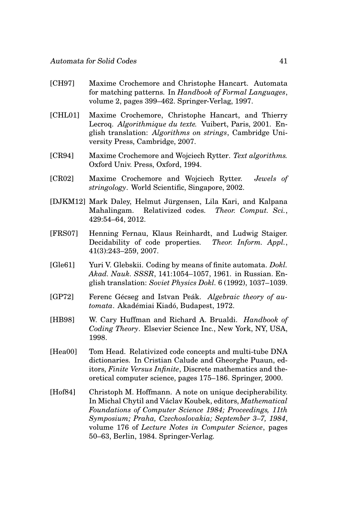- <span id="page-41-6"></span>[CH97] Maxime Crochemore and Christophe Hancart. Automata for matching patterns. In *Handbook of Formal Languages*, volume 2, pages 399–462. Springer-Verlag, 1997.
- <span id="page-41-9"></span>[CHL01] Maxime Crochemore, Christophe Hancart, and Thierry Lecroq. *Algorithmique du texte.* Vuibert, Paris, 2001. English translation: *Algorithms on strings*, Cambridge University Press, Cambridge, 2007.
- <span id="page-41-8"></span>[CR94] Maxime Crochemore and Wojciech Rytter. *Text algorithms.* Oxford Univ. Press, Oxford, 1994.
- <span id="page-41-10"></span>[CR02] Maxime Crochemore and Wojciech Rytter. *Jewels of stringology*. World Scientific, Singapore, 2002.
- <span id="page-41-4"></span>[DJKM12] Mark Daley, Helmut Jürgensen, Lila Kari, and Kalpana Mahalingam. Relativized codes. *Theor. Comput. Sci.*, 429:54–64, 2012.
- <span id="page-41-1"></span>[FRS07] Henning Fernau, Klaus Reinhardt, and Ludwig Staiger. Decidability of code properties. *Theor. Inform. Appl.*, 41(3):243–259, 2007.
- <span id="page-41-2"></span>[Gle61] Yuri V. Glebskii. Coding by means of finite automata. *Dokl. Akad. Nauk. SSSR*, 141:1054–1057, 1961. in Russian. English translation: *Soviet Physics Dokl.* 6 (1992), 1037–1039.
- <span id="page-41-3"></span>[GP72] Ferenc Gécseg and Istvan Peák. Algebraic theory of au*tomata*. Akadémiai Kiadó, Budapest, 1972.
- <span id="page-41-0"></span>[HB98] W. Cary Huffman and Richard A. Brualdi. *Handbook of Coding Theory*. Elsevier Science Inc., New York, NY, USA, 1998.
- <span id="page-41-5"></span>[Hea00] Tom Head. Relativized code concepts and multi-tube DNA dictionaries. In Cristian Calude and Gheorghe Puaun, editors, *Finite Versus Infinite*, Discrete mathematics and theoretical computer science, pages 175–186. Springer, 2000.
- <span id="page-41-7"></span>[Hof84] Christoph M. Hoffmann. A note on unique decipherability. In Michal Chytil and Václav Koubek, editors, *Mathematical Foundations of Computer Science 1984; Proceedings, 11th Symposium; Praha, Czechoslovakia; September 3–7, 1984*, volume 176 of *Lecture Notes in Computer Science*, pages 50–63, Berlin, 1984. Springer-Verlag.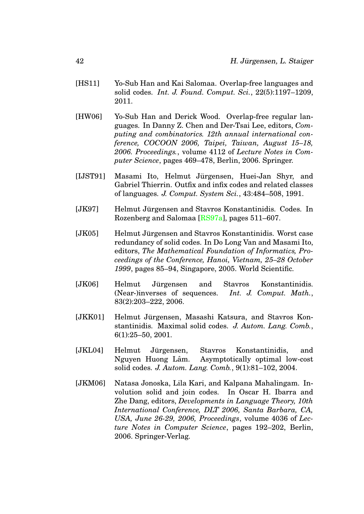- <span id="page-42-2"></span>[HS11] Yo-Sub Han and Kai Salomaa. Overlap-free languages and solid codes. *Int. J. Found. Comput. Sci.*, 22(5):1197–1209, 2011.
- <span id="page-42-8"></span>[HW06] Yo-Sub Han and Derick Wood. Overlap-free regular languages. In Danny Z. Chen and Der-Tsai Lee, editors, *Computing and combinatorics. 12th annual international conference, COCOON 2006, Taipei, Taiwan, August 15–18, 2006. Proceedings.*, volume 4112 of *Lecture Notes in Computer Science*, pages 469–478, Berlin, 2006. Springer.
- <span id="page-42-1"></span>[IJST91] Masami Ito, Helmut Jürgensen, Huei-Jan Shyr, and Gabriel Thierrin. Outfix and infix codes and related classes of languages. *J. Comput. System Sci.*, 43:484–508, 1991.
- <span id="page-42-0"></span>[JK97] Helmut Jürgensen and Stavros Konstantinidis. Codes. In Rozenberg and Salomaa [\[RS97a\]](#page-45-7), pages 511–607.
- <span id="page-42-4"></span>[JK05] Helmut Jürgensen and Stavros Konstantinidis. Worst case redundancy of solid codes. In Do Long Van and Masami Ito, editors, *The Mathematical Foundation of Informatics, Proceedings of the Conference, Hanoi, Vietnam, 25–28 October 1999*, pages 85–94, Singapore, 2005. World Scientific.
- <span id="page-42-6"></span>[JK06] Helmut Jürgensen and Stavros Konstantinidis. (Near-)inverses of sequences. *Int. J. Comput. Math.*, 83(2):203–222, 2006.
- <span id="page-42-5"></span>[JKK01] Helmut Jürgensen, Masashi Katsura, and Stavros Konstantinidis. Maximal solid codes. *J. Autom. Lang. Comb.*, 6(1):25–50, 2001.
- <span id="page-42-3"></span>[JKL04] Helmut Jürgensen, Stavros Konstantinidis, and Nguyen Huong Lâm. Asymptotically optimal low-cost solid codes. *J. Autom. Lang. Comb.*, 9(1):81–102, 2004.
- <span id="page-42-7"></span>[JKM06] Natasa Jonoska, Lila Kari, and Kalpana Mahalingam. Involution solid and join codes. In Oscar H. Ibarra and Zhe Dang, editors, *Developments in Language Theory, 10th International Conference, DLT 2006, Santa Barbara, CA, USA, June 26-29, 2006, Proceedings*, volume 4036 of *Lecture Notes in Computer Science*, pages 192–202, Berlin, 2006. Springer-Verlag.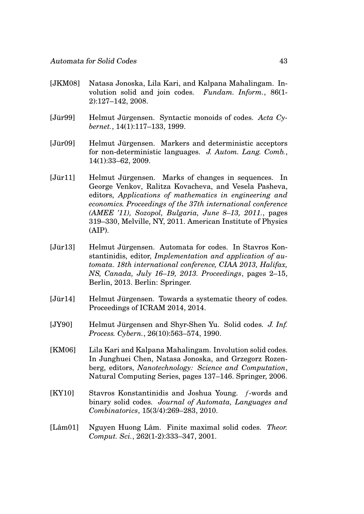- <span id="page-43-9"></span>[JKM08] Natasa Jonoska, Lila Kari, and Kalpana Mahalingam. Involution solid and join codes. *Fundam. Inform.*, 86(1- 2):127–142, 2008.
- <span id="page-43-2"></span>[Jür99] Elelmut Jürgensen. Syntactic monoids of codes. Acta Cy*bernet.*, 14(1):117–133, 1999.
- <span id="page-43-4"></span>[Jür09] Elelmut Jürgensen. Markers and deterministic acceptors for non-deterministic languages. *J. Autom. Lang. Comb.*, 14(1):33–62, 2009.
- <span id="page-43-5"></span>[Jür11] • Helmut Jürgensen. Marks of changes in sequences. In George Venkov, Ralitza Kovacheva, and Vesela Pasheva, editors, *Applications of mathematics in engineering and economics. Proceedings of the 37th international conference (AMEE '11), Sozopol, Bulgaria, June 8–13, 2011.*, pages 319–330, Melville, NY, 2011. American Institute of Physics (AIP).
- <span id="page-43-0"></span>[Jür13] Elelmut Jürgensen. Automata for codes. In Stavros Konstantinidis, editor, *Implementation and application of automata. 18th international conference, CIAA 2013, Halifax, NS, Canada, July 16–19, 2013. Proceedings*, pages 2–15, Berlin, 2013. Berlin: Springer.
- <span id="page-43-1"></span> $[J\ddot{u}r14]$  Elemut Jürgensen. Towards a systematic theory of codes. Proceedings of ICRAM 2014, 2014.
- <span id="page-43-3"></span>[JY90] Helmut Jürgensen and Shyr-Shen Yu. Solid codes. J. Inf. *Process. Cybern.*, 26(10):563–574, 1990.
- <span id="page-43-8"></span>[KM06] Lila Kari and Kalpana Mahalingam. Involution solid codes. In Junghuei Chen, Natasa Jonoska, and Grzegorz Rozenberg, editors, *Nanotechnology: Science and Computation*, Natural Computing Series, pages 137–146. Springer, 2006.
- <span id="page-43-7"></span>[KY10] Stavros Konstantinidis and Joshua Young. *f*-words and binary solid codes. *Journal of Automata, Languages and Combinatorics*, 15(3/4):269–283, 2010.
- <span id="page-43-6"></span>[Lâm01] Nguyen Huong Lâm. Finite maximal solid codes. *Theor. Comput. Sci.*, 262(1-2):333–347, 2001.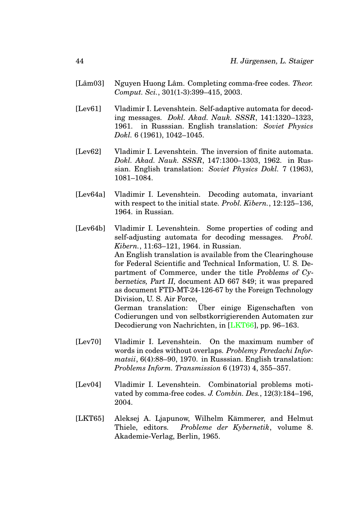- <span id="page-44-6"></span>[Lâm03] Nguyen Huong Lâm. Completing comma-free codes. *Theor. Comput. Sci.*, 301(1-3):399–415, 2003.
- <span id="page-44-1"></span>[Lev61] Vladimir I. Levenshtein. Self-adaptive automata for decoding messages. *Dokl. Akad. Nauk. SSSR*, 141:1320–1323, 1961. in Russsian. English translation: *Soviet Physics Dokl.* 6 (1961), 1042–1045.
- <span id="page-44-2"></span>[Lev62] Vladimir I. Levenshtein. The inversion of finite automata. *Dokl. Akad. Nauk. SSSR*, 147:1300–1303, 1962. in Russian. English translation: *Soviet Physics Dokl.* 7 (1963), 1081–1084.
- <span id="page-44-0"></span>[Lev64a] Vladimir I. Levenshtein. Decoding automata, invariant with respect to the initial state. *Probl. Kibern.*, 12:125–136, 1964. in Russian.
- <span id="page-44-3"></span>[Lev64b] Vladimir I. Levenshtein. Some properties of coding and self-adjusting automata for decoding messages. *Probl. Kibern.*, 11:63–121, 1964. in Russian. An English translation is available from the Clearinghouse for Federal Scientific and Technical Information, U. S. Department of Commerce, under the title Problems of Cybernetics, Part II, document AD 667 849; it was prepared as document FTD-MT-24-126-67 by the Foreign Technology Division, U. S. Air Force, German translation: Über einige Eigenschaften von Codierungen und von selbstkorrigierenden Automaten zur Decodierung von Nachrichten, in [\[LKT66\]](#page-45-11), pp. 96–163.
- <span id="page-44-4"></span>[Lev70] Vladimir I. Levenshtein. On the maximum number of words in codes without overlaps. *Problemy Peredachi Informatsii*, 6(4):88–90, 1970. in Russsian. English translation: *Problems Inform. Transmission* 6 (1973) 4, 355–357.
- <span id="page-44-5"></span>[Lev04] Vladimir I. Levenshtein. Combinatorial problems motivated by comma-free codes. *J. Combin. Des.*, 12(3):184–196, 2004.
- <span id="page-44-7"></span>[LKT65] Aleksej A. Ljapunow, Wilhelm Kämmerer, and Helmut Thiele, editors. *Probleme der Kybernetik*, volume 8. Akademie-Verlag, Berlin, 1965.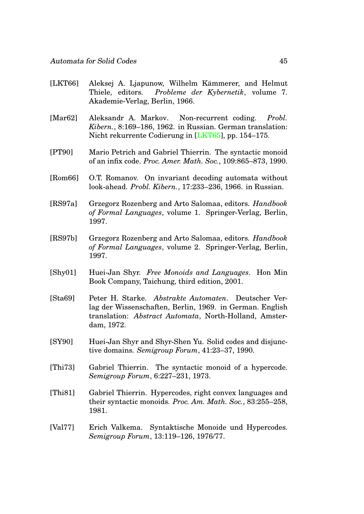- <span id="page-45-11"></span>[LKT66] Aleksej A. Ljapunow, Wilhelm Kämmerer, and Helmut Thiele, editors. *Probleme der Kybernetik*, volume 7. Akademie-Verlag, Berlin, 1966.
- <span id="page-45-6"></span>[Mar62] Aleksandr A. Markov. Non-recurrent coding. *Probl. Kibern.*, 8:169–186, 1962. in Russian. German translation: Nicht rekurrente Codierung in [\[LKT65\]](#page-44-7), pp. 154–175.
- <span id="page-45-5"></span>[PT90] Mario Petrich and Gabriel Thierrin. The syntactic monoid of an infix code. *Proc. Amer. Math. Soc.*, 109:865–873, 1990.
- <span id="page-45-1"></span>[Rom66] O.T. Romanov. On invariant decoding automata without look-ahead. *Probl. Kibern.*, 17:233–236, 1966. in Russian.
- <span id="page-45-7"></span>[RS97a] Grzegorz Rozenberg and Arto Salomaa, editors. *Handbook of Formal Languages*, volume 1. Springer-Verlag, Berlin, 1997.
- <span id="page-45-8"></span>[RS97b] Grzegorz Rozenberg and Arto Salomaa, editors. *Handbook of Formal Languages*, volume 2. Springer-Verlag, Berlin, 1997.
- <span id="page-45-0"></span>[Shy01] Huei-Jan Shyr. *Free Monoids and Languages*. Hon Min Book Company, Taichung, third edition, 2001.
- <span id="page-45-9"></span>[Sta69] Peter H. Starke. *Abstrakte Automaten*. Deutscher Verlag der Wissenschaften, Berlin, 1969. in German. English translation: *Abstract Automata*, North-Holland, Amsterdam, 1972.
- <span id="page-45-10"></span>[SY90] Huei-Jan Shyr and Shyr-Shen Yu. Solid codes and disjunctive domains. *Semigroup Forum*, 41:23–37, 1990.
- <span id="page-45-3"></span>[Thi73] Gabriel Thierrin. The syntactic monoid of a hypercode. *Semigroup Forum*, 6:227–231, 1973.
- <span id="page-45-4"></span>[Thi81] Gabriel Thierrin. Hypercodes, right convex languages and their syntactic monoids. *Proc. Am. Math. Soc.*, 83:255–258, 1981.
- <span id="page-45-2"></span>[Val77] Erich Valkema. Syntaktische Monoide und Hypercodes. *Semigroup Forum*, 13:119–126, 1976/77.